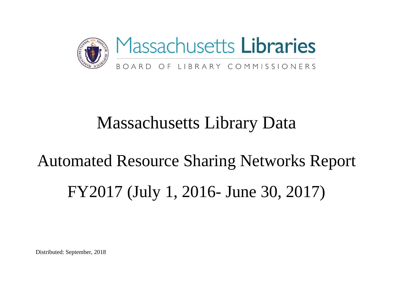

# Massachusetts Library Data

# Automated Resource Sharing Networks Report FY2017 (July 1, 2016- June 30, 2017)

Distributed: September, 2018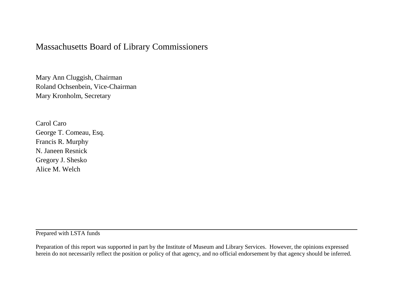#### Massachusetts Board of Library Commissioners

Mary Ann Cluggish, Chairman Roland Ochsenbein, Vice-Chairman Mary Kronholm, Secretary

Carol Caro George T. Comeau, Esq. Francis R. Murphy N. Janeen Resnick Gregory J. Shesko Alice M. Welch

Prepared with LSTA funds

Preparation of this report was supported in part by the Institute of Museum and Library Services. However, the opinions expressed herein do not necessarily reflect the position or policy of that agency, and no official endorsement by that agency should be inferred.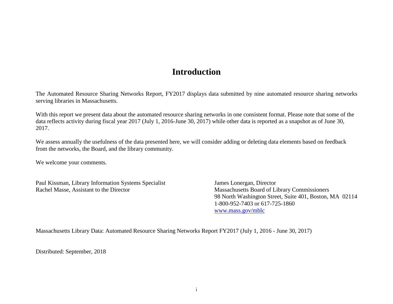#### **Introduction**

The Automated Resource Sharing Networks Report, FY2017 displays data submitted by nine automated resource sharing networks serving libraries in Massachusetts.

With this report we present data about the automated resource sharing networks in one consistent format. Please note that some of the data reflects activity during fiscal year 2017 (July 1, 2016-June 30, 2017) while other data is reported as a snapshot as of June 30, 2017.

We assess annually the usefulness of the data presented here, we will consider adding or deleting data elements based on feedback from the networks, the Board, and the library community.

We welcome your comments.

Paul Kissman, Library Information Systems Specialist James Lonergan, Director Rachel Masse, Assistant to the Director Massachusetts Board of Library Commissioners

98 North Washington Street, Suite 401, Boston, MA 02114 1-800-952-7403 or 617-725-1860 [www.mass.gov/mblc](http://www.mass.gov/mblc)

Massachusetts Library Data: Automated Resource Sharing Networks Report FY2017 (July 1, 2016 - June 30, 2017)

Distributed: September, 2018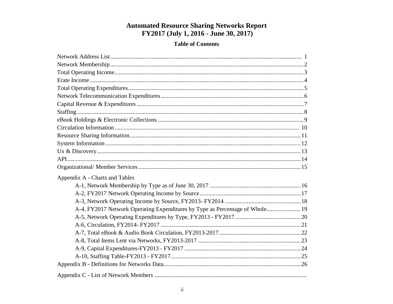# **Automated Resource Sharing Networks Report<br>FY2017 (July 1, 2016 - June 30, 2017)**

#### **Table of Contents**

| Appendix A - Charts and Tables                                               |  |
|------------------------------------------------------------------------------|--|
|                                                                              |  |
|                                                                              |  |
|                                                                              |  |
| A-4, FY2017 Network Operating Expenditures by Type as Percentage of Whole 19 |  |
|                                                                              |  |
|                                                                              |  |
|                                                                              |  |
|                                                                              |  |
|                                                                              |  |
|                                                                              |  |
|                                                                              |  |
|                                                                              |  |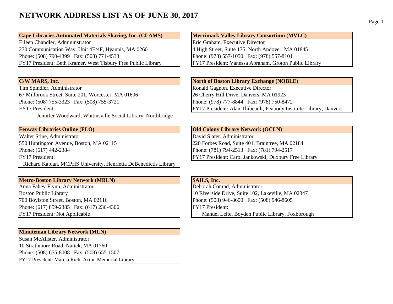#### **NETWORK ADDRESS LIST AS OF JUNE 30, 2017**

**Cape Libraries Automated Materials Sharing, Inc. (CLAMS)** Merrimack Valley Library Consortium (MVLC) Eileen Chandler, Admininstrator Eric Graham, Executive Director 270 Communication Way, Unit 4E/4F, Hyannis, MA 02601 4 High Street, Suite 175, North Andover, MA 01845 Phone: (508) 790-4399 Fax: (508) 771-4533 Phone: (978) 557-1050 Fax: (978) 557-8101 FY17 President: Beth Kramer, West Tisbury Free Public Library FY17 President: Vanessa Abraham, Groton Public Library

Tim Spindler, Administrator Ronald Gagnon, Executive Director 67 Millbrook Street, Suite 201, Worcester, MA 01606 26 Cherry Hill Drive, Danvers, MA 01923 Phone: (508) 755-3323 Fax: (508) 755-3721 Phone: (978) 777-8844 Fax: (978) 750-8472

Jennifer Woodward, Whitinsville Social Library, Northbridge

Walter Stine, Administrator **David Slater, Administrator** David Slater, Administrator 550 Huntington Avenue, Boston, MA 02115 220 Forbes Road, Suite 401, Braintree, MA 02184 Phone: (617) 442-2384 Phone: (617) 442-2384 Phone: (781) 794-2513 Fax: (781) 794-2517 FY17 President: FY17 President: Carol Jankowski, Duxbury Free Library Richard Kaplan, MCPHS University, Henrietta DeBenedictis Library

### **Metro-Boston Library Network (MBLN)**<br> **SAILS, Inc.**<br> **SAILS, Inc.**<br> **SAILS, Inc.**<br> **SAILS, Inc.**<br> **SAILS, Inc.**

Anna Fahey-Flynn, Administrator 700 Boylston Street, Boston, MA 02116 Phone: (508) 946-8600 Fax: (508) 946-8605 Phone: (617) 859-2385 Fax: (617) 236-4306 FY17 President:

#### **Minuteman Library Network (MLN)**

Susan McAlister, Administrator 10 Strathmore Road, Natick, MA 01760 Phone: (508) 655-8008 Fax: (508) 655-1507 FY17 President: Marcia Rich, Acton Memorial Library

**C/W MARS, Inc. North of Boston Library Exchange (NOBLE)** FY17 President: FY17 President: Alan Thibeault, Peabody Institute Library, Danvers

**Fenway Libraries Online (FLO) Colony Library Network (OCLN)** 

Boston Public Library 10 Riverside Drive, Suite 102, Lakeville, MA 02347 FY17 President: Not Applicable Manuel Leite, Boyden Public Library, Foxborough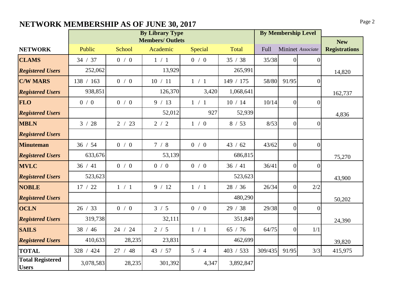### **NETWORK MEMBERSHIP AS OF JUNE 30, 2017** Page 2

|                                         |                  |         | <b>By Library Type</b>  |         | <b>By Membership Level</b> |         |                 |                   |                      |
|-----------------------------------------|------------------|---------|-------------------------|---------|----------------------------|---------|-----------------|-------------------|----------------------|
|                                         |                  |         | <b>Members/ Outlets</b> |         |                            |         |                 |                   | <b>New</b>           |
| <b>NETWORK</b>                          | Public           | School  | Academic                | Special | Total                      | Full    |                 | Mininet Associate | <b>Registrations</b> |
| <b>CLAMS</b>                            | 34 / 37          | 0/0     | 1/1                     | 0/0     | 35 / 38                    | 35/38   | $\overline{0}$  | $\overline{0}$    |                      |
| <b>Registered Users</b>                 | 252,062          |         | 13,929                  |         | 265,991                    |         |                 |                   | 14,820               |
| <b>C/W MARS</b>                         | 138 / 163<br>0/0 |         | 10 / 11                 | 1 / 1   |                            | 58/80   | 91/95           | $\Omega$          |                      |
| <b>Registered Users</b>                 | 938,851          |         | 126,370                 | 3,420   |                            |         |                 |                   | 162,737              |
| <b>FLO</b>                              | 0/0              | 0/0     | 9 / 13                  | 1 / 1   | 10/14                      | 10/14   | $\vert 0 \vert$ | $\overline{0}$    |                      |
| <b>Registered Users</b>                 |                  |         | 52,012                  | 927     | 52,939                     |         |                 |                   | 4,836                |
| <b>MBLN</b>                             | 3 / 28           | 2 / 23  | 2/2                     | 1/0     | 8 / 53                     | 8/53    | $\overline{0}$  | $\overline{0}$    |                      |
| <b>Registered Users</b>                 |                  |         |                         |         |                            |         |                 |                   |                      |
| <b>Minuteman</b>                        | 36 / 54          | 0/0     | 7/8                     | 0/0     | 43 / 62                    | 43/62   | $\vert 0 \vert$ | $\overline{0}$    |                      |
| <b>Registered Users</b>                 | 633,676          |         | 53,139                  |         | 686,815                    |         |                 |                   | 75,270               |
| <b>MVLC</b>                             | 36 / 41          | 0/0     | 0/0                     | 0/0     | 36 / 41                    | 36/41   | $\overline{0}$  | $\theta$          |                      |
| <b>Registered Users</b>                 | 523,623          |         |                         |         | 523,623                    |         |                 |                   | 43,900               |
| <b>NOBLE</b>                            | 17 / 22          | 1 / 1   | 9 / 12                  | 1 / 1   | 28 / 36                    | 26/34   | $\overline{0}$  | 2/2               |                      |
| <b>Registered Users</b>                 |                  |         |                         |         | 480,290                    |         |                 |                   | 50,202               |
| <b>OCLN</b>                             | 26 / 33          | 0/0     | 3 / 5                   | 0/0     | 29 / 38                    | 29/38   | $\overline{0}$  | $\overline{0}$    |                      |
| <b>Registered Users</b>                 | 319,738          |         | 32,111                  |         | 351,849                    |         |                 |                   | 24,390               |
| <b>SAILS</b>                            | 38 / 46          | 24 / 24 | 2/5                     | 1 / 1   | 65 / 76                    | 64/75   | $\overline{0}$  | 1/1               |                      |
| <b>Registered Users</b>                 | 410,633          | 28,235  | 23,831                  |         | 462,699                    |         |                 | 39,820            |                      |
| <b>TOTAL</b>                            | 328 / 424        | 27 / 48 | 43 / 57                 | 5/4     | 403 / 533                  | 309/435 | 91/95           | 3/3               | 415,975              |
| <b>Total Registered</b><br><b>Users</b> | 3,078,583        | 28,235  | 301,392                 | 4,347   | 3,892,847                  |         |                 |                   |                      |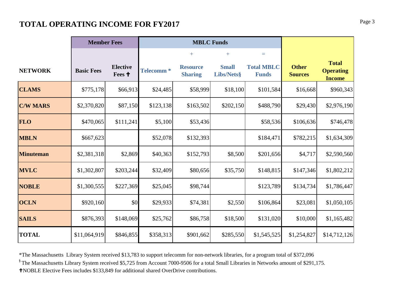#### **Page 3 <b>Page 3 Page 3 Page 3 Page 3 Page 3**

|                  | <b>Member Fees</b> |                           |                  | <b>MBLC Funds</b>                 |                            |                                   |                                |                                                   |
|------------------|--------------------|---------------------------|------------------|-----------------------------------|----------------------------|-----------------------------------|--------------------------------|---------------------------------------------------|
|                  |                    |                           |                  | $+$                               | $+$                        | $\equiv$                          |                                |                                                   |
| <b>NETWORK</b>   | <b>Basic Fees</b>  | <b>Elective</b><br>Fees + | <b>Telecomm*</b> | <b>Resource</b><br><b>Sharing</b> | <b>Small</b><br>Libs/Nets§ | <b>Total MBLC</b><br><b>Funds</b> | <b>Other</b><br><b>Sources</b> | <b>Total</b><br><b>Operating</b><br><b>Income</b> |
| <b>CLAMS</b>     | \$775,178          | \$66,913                  | \$24,485         | \$58,999                          | \$18,100                   | \$101,584                         | \$16,668                       | \$960,343                                         |
| <b>C/W MARS</b>  | \$2,370,820        | \$87,150                  | \$123,138        | \$163,502                         | \$202,150                  | \$488,790                         | \$29,430                       | \$2,976,190                                       |
| <b>FLO</b>       | \$470,065          | \$111,241                 | \$5,100          | \$53,436                          |                            | \$58,536                          | \$106,636                      | \$746,478                                         |
| <b>MBLN</b>      | \$667,623          |                           | \$52,078         | \$132,393                         |                            | \$184,471                         | \$782,215                      | \$1,634,309                                       |
| <b>Minuteman</b> | \$2,381,318        | \$2,869                   | \$40,363         | \$152,793                         | \$8,500                    | \$201,656                         | \$4,717                        | \$2,590,560                                       |
| <b>MVLC</b>      | \$1,302,807        | \$203,244                 | \$32,409         | \$80,656                          | \$35,750                   | \$148,815                         | \$147,346                      | \$1,802,212                                       |
| <b>NOBLE</b>     | \$1,300,555        | \$227,369                 | \$25,045         | \$98,744                          |                            | \$123,789                         | \$134,734                      | \$1,786,447                                       |
| <b>OCLN</b>      | \$920,160          | \$0                       | \$29,933         | \$74,381                          | \$2,550                    | \$106,864                         | \$23,081                       | \$1,050,105                                       |
| <b>SAILS</b>     | \$876,393          | \$148,069                 | \$25,762         | \$86,758                          | \$18,500                   | \$131,020                         | \$10,000                       | \$1,165,482                                       |
| <b>TOTAL</b>     | \$11,064,919       | \$846,855                 | \$358,313        | \$901,662                         | \$285,550                  | \$1,545,525                       | \$1,254,827                    | \$14,712,126                                      |

\*The Massachusetts Library System received \$13,783 to support telecomm for non-network libraries, for a program total of \$372,096

§ The Massachusetts Library System received \$5,725 from Account 7000-9506 for a total Small Libraries in Networks amount of \$291,175.

NOBLE Elective Fees includes \$133,849 for additional shared OverDrive contributions.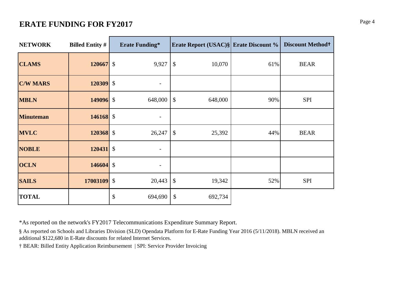#### **ERATE FUNDING FOR FY2017** Page 4

| <b>NETWORK</b>   | <b>Billed Entity #</b> | <b>Erate Funding*</b>    | <b>Erate Report (USAC)§ Erate Discount %</b> |     | <b>Discount Method+</b> |
|------------------|------------------------|--------------------------|----------------------------------------------|-----|-------------------------|
| <b>CLAMS</b>     | 120667 \$              | 9,927                    | \$<br>10,070                                 | 61% | <b>BEAR</b>             |
| <b>C/W MARS</b>  | 120309 \$              |                          |                                              |     |                         |
| <b>MBLN</b>      | 149096 \$              | 648,000                  | \$<br>648,000                                | 90% | <b>SPI</b>              |
| <b>Minuteman</b> | $146168$ \$            |                          |                                              |     |                         |
| <b>MVLC</b>      | 120368 \$              | 26,247                   | \$<br>25,392                                 | 44% | <b>BEAR</b>             |
| <b>NOBLE</b>     | $120431$ \$            |                          |                                              |     |                         |
| <b>OCLN</b>      | $146604$ \$            | $\overline{\phantom{a}}$ |                                              |     |                         |
| <b>SAILS</b>     | 17003109 \$            | 20,443                   | \$<br>19,342                                 | 52% | <b>SPI</b>              |
| <b>TOTAL</b>     |                        | \$<br>694,690            | \$<br>692,734                                |     |                         |

\*As reported on the network's FY2017 Telecommunications Expenditure Summary Report.

§ As reported on Schools and Libraries Division (SLD) Opendata Platform for E-Rate Funding Year 2016 (5/11/2018). MBLN received an additional \$122,680 in E-Rate discounts for related Internet Services.

† BEAR: Billed Entity Application Reimbursement | SPI: Service Provider Invoicing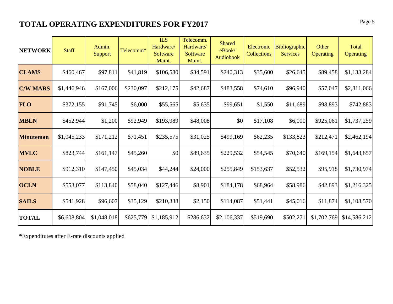#### **TOTAL OPERATING EXPENDITURES FOR FY2017** Page 5

| <b>NETWORK</b>   | <b>Staff</b> | Admin.<br>Support | Telecomm* | <b>ILS</b><br>Hardware/<br>Software<br>Maint. | Telecomm.<br>Hardware/<br>Software<br>Maint. | <b>Shared</b><br>eBook/<br>Audiobook | Electronic<br><b>Collections</b> | Bibliographic<br><b>Services</b> | Other<br>Operating | Total<br><b>Operating</b> |
|------------------|--------------|-------------------|-----------|-----------------------------------------------|----------------------------------------------|--------------------------------------|----------------------------------|----------------------------------|--------------------|---------------------------|
| <b>CLAMS</b>     | \$460,467    | \$97,811          | \$41,819  | \$106,580                                     | \$34,591                                     | \$240,313                            | \$35,600                         | \$26,645                         | \$89,458           | \$1,133,284               |
| <b>C/W MARS</b>  | \$1,446,946  | \$167,006         | \$230,097 | \$212,175                                     | \$42,687                                     | \$483,558                            | \$74,610                         | \$96,940                         | \$57,047           | \$2,811,066               |
| <b>FLO</b>       | \$372,155    | \$91,745          | \$6,000   | \$55,565                                      | \$5,635                                      | \$99,651                             | \$1,550                          | \$11,689                         | \$98,893           | \$742,883                 |
| <b>MBLN</b>      | \$452,944    | \$1,200           | \$92,949  | \$193,989                                     | \$48,008                                     | \$0                                  | \$17,108                         | \$6,000                          | \$925,061          | \$1,737,259               |
| <b>Minuteman</b> | \$1,045,233  | \$171,212         | \$71,451  | \$235,575                                     | \$31,025                                     | \$499,169                            | \$62,235                         | \$133,823                        | \$212,471          | \$2,462,194               |
| <b>MVLC</b>      | \$823,744    | \$161,147         | \$45,260  | \$0                                           | \$89,635                                     | \$229,532                            | \$54,545                         | \$70,640                         | \$169,154          | \$1,643,657               |
| <b>NOBLE</b>     | \$912,310    | \$147,450         | \$45,034  | \$44,244                                      | \$24,000                                     | \$255,849                            | \$153,637                        | \$52,532                         | \$95,918           | \$1,730,974               |
| <b>OCLN</b>      | \$553,077    | \$113,840         | \$58,040  | \$127,446                                     | \$8,901                                      | \$184,178                            | \$68,964                         | \$58,986                         | \$42,893           | \$1,216,325               |
| <b>SAILS</b>     | \$541,928    | \$96,607          | \$35,129  | \$210,338                                     | \$2,150                                      | \$114,087                            | \$51,441                         | \$45,016                         | \$11,874           | \$1,108,570               |
| <b>TOTAL</b>     | \$6,608,804  | \$1,048,018       | \$625,779 | \$1,185,912                                   | \$286,632                                    | \$2,106,337                          | \$519,690                        | \$502,271                        | \$1,702,769        | \$14,586,212              |

\*Expenditutes after E-rate discounts applied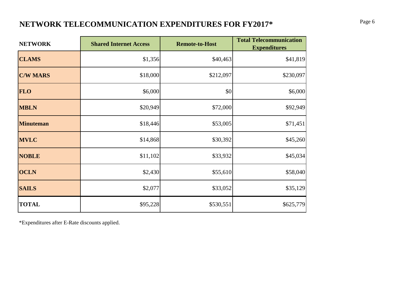### **NETWORK TELECOMMUNICATION EXPENDITURES FOR FY2017\*** Page 6 Page 6

| <b>NETWORK</b>   | <b>Shared Internet Access</b> | <b>Remote-to-Host</b> | <b>Total Telecommunication</b><br><b>Expenditures</b> |
|------------------|-------------------------------|-----------------------|-------------------------------------------------------|
| <b>CLAMS</b>     | \$1,356                       | \$40,463              | \$41,819                                              |
| <b>C/W MARS</b>  | \$18,000                      | \$212,097             | \$230,097                                             |
| <b>FLO</b>       | \$6,000                       | \$0                   | \$6,000                                               |
| <b>MBLN</b>      | \$20,949                      | \$72,000              | \$92,949                                              |
| <b>Minuteman</b> | \$18,446                      | \$53,005              | \$71,451                                              |
| <b>MVLC</b>      | \$14,868                      | \$30,392              | \$45,260                                              |
| <b>NOBLE</b>     | \$11,102                      | \$33,932              | \$45,034                                              |
| <b>OCLN</b>      | \$2,430                       | \$55,610              | \$58,040                                              |
| <b>SAILS</b>     | \$2,077                       | \$33,052              | \$35,129                                              |
| <b>TOTAL</b>     | \$95,228                      | \$530,551             | \$625,779                                             |

\*Expenditures after E-Rate discounts applied.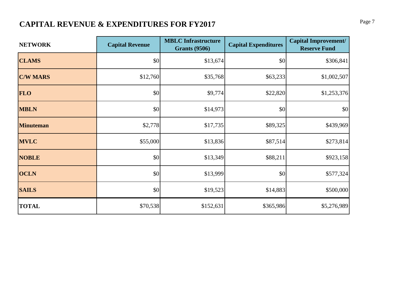### **CAPITAL REVENUE & EXPENDITURES FOR FY2017** Page 7

| <b>NETWORK</b>   | <b>Capital Revenue</b> | <b>MBLC</b> Infrastructure<br><b>Grants (9506)</b> | <b>Capital Expenditures</b> | <b>Capital Improvement/</b><br><b>Reserve Fund</b> |
|------------------|------------------------|----------------------------------------------------|-----------------------------|----------------------------------------------------|
| <b>CLAMS</b>     | \$0                    | \$13,674                                           | \$0                         | \$306,841                                          |
| <b>C/W MARS</b>  | \$12,760               | \$35,768                                           | \$63,233                    | \$1,002,507                                        |
| <b>FLO</b>       | \$0                    | \$9,774                                            | \$22,820                    | \$1,253,376                                        |
| <b>MBLN</b>      | \$0                    | \$14,973                                           | \$0                         | \$0                                                |
| <b>Minuteman</b> | \$2,778                | \$17,735                                           | \$89,325                    | \$439,969                                          |
| <b>MVLC</b>      | \$55,000               | \$13,836                                           | \$87,514                    | \$273,814                                          |
| <b>NOBLE</b>     | \$0                    | \$13,349                                           | \$88,211                    | \$923,158                                          |
| <b>OCLN</b>      | \$0                    | \$13,999                                           | \$0                         | \$577,324                                          |
| <b>SAILS</b>     | \$0                    | \$19,523                                           | \$14,883                    | \$500,000                                          |
| <b>TOTAL</b>     | \$70,538               | \$152,631                                          | \$365,986                   | \$5,276,989                                        |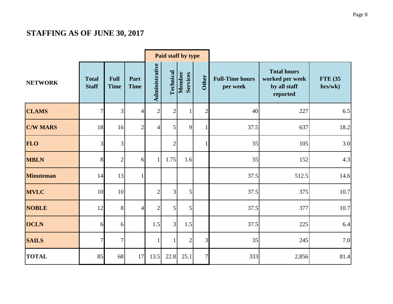#### **STAFFING AS OF JUNE 30, 2017**

|                  |                              |                            |                     |                |                | Paid staff by type |                |                                    |                                                                   |                           |
|------------------|------------------------------|----------------------------|---------------------|----------------|----------------|--------------------|----------------|------------------------------------|-------------------------------------------------------------------|---------------------------|
| <b>NETWORK</b>   | <b>Total</b><br><b>Staff</b> | <b>Full</b><br><b>Time</b> | Part<br><b>Time</b> | Administrative | Technical      | Member<br>Services | <b>Other</b>   | <b>Full-Time hours</b><br>per week | <b>Total hours</b><br>worked per week<br>by all staff<br>reported | <b>FTE</b> (35<br>hrs/wk) |
| <b>CLAMS</b>     | $\overline{7}$               | 3                          | $\overline{4}$      | $\sqrt{2}$     | $\mathbf{2}$   |                    | 2              | 40                                 | 227                                                               | 6.5                       |
| <b>C/W MARS</b>  | 18                           | 16                         | $\overline{2}$      | $\overline{4}$ | $\overline{5}$ | 9                  |                | 37.5                               | 637                                                               | 18.2                      |
| <b>FLO</b>       | 3                            | 3                          |                     |                | $\overline{2}$ |                    |                | 35                                 | 105                                                               | 3.0                       |
| <b>MBLN</b>      | 8                            | $\overline{2}$             | 6                   | $\mathbf{1}$   | 1.75           | 1.6                |                | 35                                 | 152                                                               | 4.3                       |
| <b>Minuteman</b> | 14                           | 13                         | $\mathbf{1}$        |                |                |                    |                | 37.5                               | 512.5                                                             | 14.6                      |
| <b>MVLC</b>      | 10                           | 10                         |                     | $\overline{2}$ | $\overline{3}$ | 5                  |                | 37.5                               | 375                                                               | 10.7                      |
| <b>NOBLE</b>     | 12                           | 8                          | $\overline{4}$      | $\overline{2}$ | $\vert$        | 5                  |                | 37.5                               | 377                                                               | 10.7                      |
| <b>OCLN</b>      | 6                            | 6                          |                     | 1.5            | $\overline{3}$ | 1.5                |                | 37.5                               | 225                                                               | 6.4                       |
| <b>SAILS</b>     | 7                            | 7                          |                     | $\mathbf{1}$   |                | $\overline{2}$     | $\overline{3}$ | 35                                 | 245                                                               | 7.0                       |
| <b>TOTAL</b>     | 85                           | 68                         | 17                  | 13.5           | 22.8           | 25.1               | $\overline{7}$ | 333                                | 2,856                                                             | 81.4                      |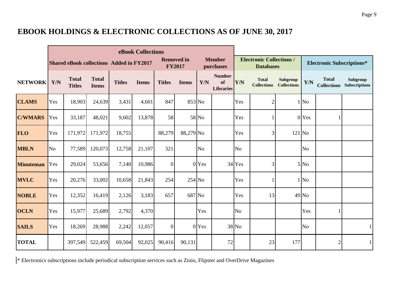#### **EBOOK HOLDINGS & ELECTRONIC COLLECTIONS AS OF JUNE 30, 2017**

|                  |                |                               |                              |                                                 | eBook Collections |                |                                    |                |                                         |          |                                                     |                                |                         |                                    |                           |
|------------------|----------------|-------------------------------|------------------------------|-------------------------------------------------|-------------------|----------------|------------------------------------|----------------|-----------------------------------------|----------|-----------------------------------------------------|--------------------------------|-------------------------|------------------------------------|---------------------------|
|                  |                |                               |                              | <b>Shared eBook collections Added in FY2017</b> |                   |                | <b>Removed in</b><br><b>FY2017</b> |                | <b>Member</b><br>purchases              |          | <b>Electronic Collections /</b><br><b>Databases</b> |                                |                         | <b>Electronic Subscriptions*</b>   |                           |
| <b>NETWORK</b>   | Y/N            | <b>Total</b><br><b>Titles</b> | <b>Total</b><br><b>Items</b> | <b>Titles</b>                                   | <b>Items</b>      | <b>Titles</b>  | <b>Items</b>                       | Y/N            | <b>Number</b><br>of<br><b>Libraries</b> | Y/N      | <b>Total</b><br><b>Collections</b>                  | Subgroup<br><b>Collections</b> | $\mathbf{Y}/\mathbf{N}$ | <b>Total</b><br><b>Collections</b> | Subgroup<br>Subscriptions |
| <b>CLAMS</b>     | Yes            | 18,903                        | 24,639                       | 3,431                                           | 4,601             | 847            | 853 No                             |                |                                         | Yes      | 2                                                   |                                | 1 No                    |                                    |                           |
| <b>C/WMARS</b>   | Yes            | 33,187                        | 48,021                       | 9,602                                           | 13,878            | 58             |                                    | 58 No          |                                         | Yes      |                                                     |                                | 0 Yes                   |                                    |                           |
| <b>FLO</b>       | Yes            | 171,972                       | 171,972                      | 18,755                                          |                   | 88,279         | 88,279 No                          |                |                                         | Yes      | 3                                                   | $121$ No                       |                         |                                    |                           |
| <b>MBLN</b>      | N <sub>o</sub> | 77,589                        | 120,073                      | 12,758                                          | 21,107            | 321            |                                    | N <sub>o</sub> |                                         | $\rm No$ |                                                     |                                | N <sub>o</sub>          |                                    |                           |
| <b>Minuteman</b> | Yes            | 29,024                        | 53,656                       | 7,140                                           | 10,986            | $\overline{0}$ |                                    | 0 Yes          |                                         | 34 Yes   | 3                                                   |                                | 5 No                    |                                    |                           |
| <b>MVLC</b>      | Yes            | 20,276                        | 33,002                       | 10,658                                          | 21,843            | 254            | $254$ No                           |                |                                         | Yes      |                                                     |                                | $1$ No                  |                                    |                           |
| <b>NOBLE</b>     | Yes            | 12,352                        | 16,419                       | 2,126                                           | 3,183             | 657            | 687 No                             |                |                                         | Yes      | 13                                                  |                                | 49 No                   |                                    |                           |
| <b>OCLN</b>      | Yes            | 15,977                        | 25,689                       | 2,792                                           | 4,370             |                |                                    | Yes            |                                         | No       |                                                     |                                | Yes                     |                                    |                           |
| <b>SAILS</b>     | Yes            | 18,269                        | 28,988                       | 2,242                                           | 12,057            | $\overline{0}$ |                                    | 0 Yes          |                                         | 38 No    |                                                     |                                | N <sub>o</sub>          |                                    |                           |
| <b>TOTAL</b>     |                | 397,549                       | 522,459                      | 69,504                                          | 92,025            | 90,416         | 90,131                             |                | 72                                      |          | 23                                                  | 177                            |                         | $\mathfrak{2}$                     |                           |

\* Electronics subscriptions include periodical subscription services such as Zinio, Flipster and OverDrive Magazines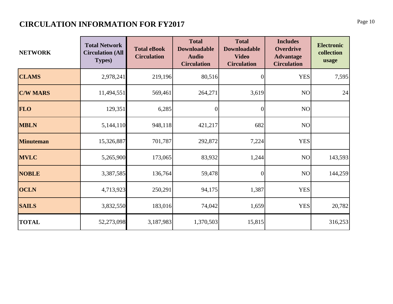#### **CIRCULATION INFORMATION FOR FY2017** Page 10

| <b>NETWORK</b>   | <b>Total Network</b><br><b>Circulation (All</b><br><b>Types</b> ) | <b>Total eBook</b><br><b>Circulation</b> | <b>Total</b><br><b>Downloadable</b><br><b>Audio</b><br><b>Circulation</b> | <b>Total</b><br><b>Downloadable</b><br><b>Video</b><br><b>Circulation</b> | <b>Includes</b><br><b>Overdrive</b><br><b>Advantage</b><br><b>Circulation</b> | <b>Electronic</b><br>collection<br>usage |
|------------------|-------------------------------------------------------------------|------------------------------------------|---------------------------------------------------------------------------|---------------------------------------------------------------------------|-------------------------------------------------------------------------------|------------------------------------------|
| <b>CLAMS</b>     | 2,978,241                                                         | 219,196                                  | 80,516                                                                    | $\overline{0}$                                                            | <b>YES</b>                                                                    | 7,595                                    |
| <b>C/W MARS</b>  | 11,494,551                                                        | 569,461                                  | 264,271                                                                   | 3,619                                                                     | NO                                                                            | 24                                       |
| <b>FLO</b>       | 129,351                                                           | 6,285                                    | $\overline{0}$                                                            | $\overline{0}$                                                            | NO                                                                            |                                          |
| <b>MBLN</b>      | 5,144,110                                                         | 948,118                                  | 421,217                                                                   | 682                                                                       | NO                                                                            |                                          |
| <b>Minuteman</b> | 15,326,887                                                        | 701,787                                  | 292,872                                                                   | 7,224                                                                     | <b>YES</b>                                                                    |                                          |
| <b>MVLC</b>      | 5,265,900                                                         | 173,065                                  | 83,932                                                                    | 1,244                                                                     | NO                                                                            | 143,593                                  |
| <b>NOBLE</b>     | 3,387,585                                                         | 136,764                                  | 59,478                                                                    | $\Omega$                                                                  | NO                                                                            | 144,259                                  |
| <b>OCLN</b>      | 4,713,923                                                         | 250,291                                  | 94,175                                                                    | 1,387                                                                     | <b>YES</b>                                                                    |                                          |
| <b>SAILS</b>     | 3,832,550                                                         | 183,016                                  | 74,042                                                                    | 1,659                                                                     | <b>YES</b>                                                                    | 20,782                                   |
| <b>TOTAL</b>     | 52,273,098                                                        | 3,187,983                                | 1,370,503                                                                 | 15,815                                                                    |                                                                               | 316,253                                  |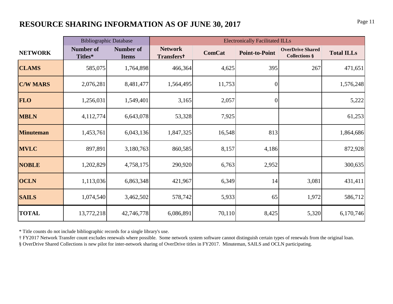#### **RESOURCE SHARING INFORMATION AS OF JUNE 30, 2017** Page 11

|                  |                             | <b>Bibliographic Database</b>    |                              |               | <b>Electronically Facilitated ILLs</b> |                                                 |                   |
|------------------|-----------------------------|----------------------------------|------------------------------|---------------|----------------------------------------|-------------------------------------------------|-------------------|
| <b>NETWORK</b>   | <b>Number of</b><br>Titles* | <b>Number of</b><br><b>Items</b> | <b>Network</b><br>Transferst | <b>ComCat</b> | <b>Point-to-Point</b>                  | <b>OverDrive Shared</b><br><b>Collections §</b> | <b>Total ILLs</b> |
| <b>CLAMS</b>     | 585,075                     | 1,764,898                        | 466,364                      | 4,625         | 395                                    | 267                                             | 471,651           |
| <b>C/W MARS</b>  | 2,076,281                   | 8,481,477                        | 1,564,495                    | 11,753        | $\overline{0}$                         |                                                 | 1,576,248         |
| <b>FLO</b>       | 1,256,031                   | 1,549,401                        | 3,165                        | 2,057         | $\overline{0}$                         |                                                 | 5,222             |
| <b>MBLN</b>      | 4,112,774                   | 6,643,078                        | 53,328                       | 7,925         |                                        |                                                 | 61,253            |
| <b>Minuteman</b> | 1,453,761                   | 6,043,136                        | 1,847,325                    | 16,548        | 813                                    |                                                 | 1,864,686         |
| <b>MVLC</b>      | 897,891                     | 3,180,763                        | 860,585                      | 8,157         | 4,186                                  |                                                 | 872,928           |
| <b>NOBLE</b>     | 1,202,829                   | 4,758,175                        | 290,920                      | 6,763         | 2,952                                  |                                                 | 300,635           |
| <b>OCLN</b>      | 1,113,036                   | 6,863,348                        | 421,967                      | 6,349         | 14                                     | 3,081                                           | 431,411           |
| <b>SAILS</b>     | 1,074,540                   | 3,462,502                        | 578,742                      | 5,933         | 65                                     | 1,972                                           | 586,712           |
| <b>TOTAL</b>     | 13,772,218                  | 42,746,778                       | 6,086,891                    | 70,110        | 8,425                                  | 5,320                                           | 6,170,746         |

\* Title counts do not include bibliographic records for a single library's use.

† FY2017 Network Transfer count excludes renewals where possible. Some network system software cannot distinguish certain types of renewals from the original loan.

§ OverDrive Shared Collections is new pilot for inter-network sharing of OverDrive titles in FY2017. Minuteman, SAILS and OCLN participating.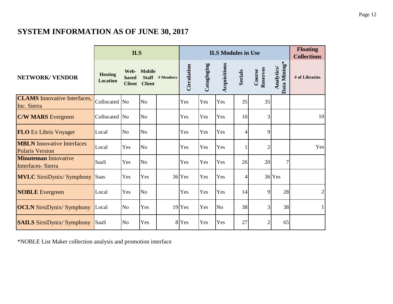#### **SYSTEM INFORMATION AS OF JUNE 30, 2017**

|                                                             |                                   | <b>ILS</b>             |                                              |           |             | <b>ILS Modules in Use</b> |                | <b>Floating</b><br><b>Collections</b> |                    |                            |                |
|-------------------------------------------------------------|-----------------------------------|------------------------|----------------------------------------------|-----------|-------------|---------------------------|----------------|---------------------------------------|--------------------|----------------------------|----------------|
| <b>NETWORK/ VENDOR</b>                                      | <b>Hosting</b><br><b>Location</b> | based<br><b>Client</b> | Web- Mobile<br><b>Staff</b><br><b>Client</b> | # Members | Circulation | Catagloging               | Acquisitions   | <b>Serials</b>                        | Reserves<br>Course | Data Mining*<br>Analytics/ | # of Libraries |
| <b>CLAMS</b> Innovative Interfaces,<br>Inc. Sierra          | Collocated No                     |                        | N <sub>o</sub>                               |           | Yes         | Yes                       | Yes            | 35                                    | 35                 |                            |                |
| <b>C/W MARS</b> Evergreen                                   | Collocated No                     |                        | <b>No</b>                                    |           | Yes         | Yes                       | Yes            | 10                                    | 3                  |                            | 10             |
| <b>FLO</b> Ex Libris Voyager                                | Local                             | N <sub>o</sub>         | N <sub>o</sub>                               |           | Yes         | Yes                       | Yes            | 4                                     | 9                  |                            |                |
| <b>MBLN</b> Innovative Interfaces<br><b>Polaris Version</b> | Local                             | Yes                    | N <sub>o</sub>                               |           | Yes         | Yes                       | Yes            |                                       | $\overline{2}$     |                            | Yes            |
| <b>Minuteman Innovative</b><br><b>Interfaces-Sierra</b>     | <b>SaaS</b>                       | Yes                    | N <sub>o</sub>                               |           | Yes         | Yes                       | Yes            | 26                                    | 20                 | $\overline{7}$             |                |
| <b>MVLC</b> SirsiDynix/ Symphony                            | Saas                              | Yes                    | Yes                                          |           | 36 Yes      | Yes                       | Yes            | 4                                     |                    | 36 Yes                     |                |
| <b>NOBLE</b> Evergreen                                      | Local                             | Yes                    | N <sub>o</sub>                               |           | Yes         | Yes                       | Yes            | 14                                    | 9                  | 28                         | 2              |
| <b>OCLN</b> SirsiDynix/ Symphony                            | Local                             | No                     | Yes                                          |           | $19$ Yes    | Yes                       | N <sub>o</sub> | 38                                    | 3                  | 38                         |                |
| <b>SAILS SirsiDynix/ Symphony</b>                           | SaaS                              | N <sub>o</sub>         | Yes                                          |           | 8 Yes       | Yes                       | Yes            | 27                                    | 2                  | 65                         |                |

\*NOBLE List Maker collection analysis and promotion interface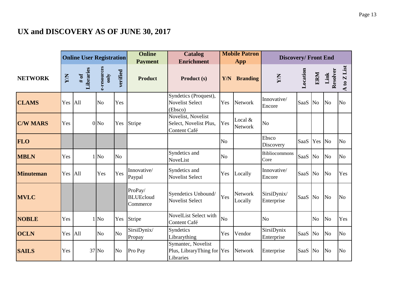#### **UX and DISCOVERY AS OF JUNE 30, 2017**

|                  |            | <b>Online User Registration</b> |                     |                | <b>Online</b><br><b>Payment</b>         | <b>Mobile Patron</b><br><b>Catalog</b><br><b>Enrichment</b><br>App |                |                           |                              |             | <b>Discovery/Front End</b> |                  |                |
|------------------|------------|---------------------------------|---------------------|----------------|-----------------------------------------|--------------------------------------------------------------------|----------------|---------------------------|------------------------------|-------------|----------------------------|------------------|----------------|
| <b>NETWORK</b>   | <b>N/A</b> | # of<br>Libraries               | e-resources<br>only | verified       | <b>Product</b>                          | Product (s)                                                        | Y/N            | <b>Branding</b>           | XW                           | Location    | ERM                        | Resolver<br>Link | A to Z List    |
| <b>CLAMS</b>     | Yes        | All                             | N <sub>o</sub>      | Yes            |                                         | Syndetics (Proquest),<br><b>Novelist Select</b><br>(Ebsco)         | Yes            | <b>Network</b>            | Innovative/<br>Encore        | SaaS        | N <sub>o</sub>             | N <sub>o</sub>   | N <sub>o</sub> |
| <b>C/W MARS</b>  | Yes        |                                 | 0 <sub>No</sub>     | Yes            | Stripe                                  | Novelist, Novelist<br>Select, Novelist Plus,<br>Content Café       | Yes            | Local &<br><b>Network</b> | N <sub>o</sub>               |             |                            |                  |                |
| <b>FLO</b>       |            |                                 |                     |                |                                         |                                                                    | N <sub>o</sub> |                           | Ebsco<br>Discovery           | SaaS        | Yes                        | N <sub>o</sub>   | N <sub>o</sub> |
| <b>MBLN</b>      | Yes        |                                 | $1$ No              | N <sub>o</sub> |                                         | Syndetics and<br>NoveList                                          | N <sub>o</sub> |                           | <b>Bibliocommons</b><br>Core | SaaS        | N <sub>o</sub>             | N <sub>o</sub>   | N <sub>o</sub> |
| <b>Minuteman</b> | Yes        | All                             | Yes                 | Yes            | Innovative/<br>Paypal                   | Syndetics and<br><b>Novelist Select</b>                            | Yes            | Locally                   | Innovative/<br>Encore        | SaaS        | N <sub>o</sub>             | N <sub>0</sub>   | Yes            |
| <b>MVLC</b>      |            |                                 |                     |                | ProPay/<br><b>BLUEcloud</b><br>Commerce | Syendetics Unbound/<br><b>Novelist Select</b>                      | Yes            | <b>Network</b><br>Locally | SirsiDynix/<br>Enterprise    | SaaS        | N <sub>o</sub>             | N <sub>o</sub>   | N <sub>o</sub> |
| <b>NOBLE</b>     | Yes        |                                 | $1$ No              | Yes            | Stripe                                  | NovelList Select with<br>Content Café                              | N <sub>o</sub> |                           | N <sub>o</sub>               |             | N <sub>o</sub>             | N <sub>o</sub>   | Yes            |
| <b>OCLN</b>      | Yes        | All                             | N <sub>o</sub>      | N <sub>o</sub> | SirsiDynix/<br>Propay                   | Syndetics<br>Librarything                                          | Yes            | Vendor                    | SirsiDynix<br>Enterprise     | <b>SaaS</b> | N <sub>o</sub>             | N <sub>o</sub>   | N <sub>o</sub> |
| <b>SAILS</b>     | Yes        |                                 | 37 No               | N <sub>o</sub> | Pro Pay                                 | Symantec, Novelist<br>Plus, LibraryThing for Yes<br>Libraries      |                | Network                   | Enterprise                   | SaaS        | <b>No</b>                  | N <sub>o</sub>   | N <sub>o</sub> |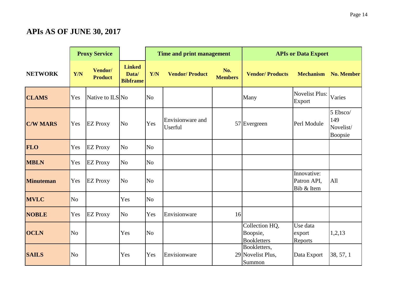#### **APIs AS OF JUNE 30, 2017**

|                  |                | <b>Proxy Service</b>      |                                           |                | Time and print management   |                       |                                                  | <b>APIs or Data Export</b>               |                                         |
|------------------|----------------|---------------------------|-------------------------------------------|----------------|-----------------------------|-----------------------|--------------------------------------------------|------------------------------------------|-----------------------------------------|
| <b>NETWORK</b>   | Y/N            | Vendor/<br><b>Product</b> | <b>Linked</b><br>Data/<br><b>Bibframe</b> | <b>Y/N</b>     | <b>Vendor/Product</b>       | No.<br><b>Members</b> | <b>Vendor/Products</b>                           | <b>Mechanism</b>                         | <b>No. Member</b>                       |
| <b>CLAMS</b>     | Yes            | Native to ILS No          |                                           | N <sub>o</sub> |                             |                       | Many                                             | <b>Novelist Plus:</b><br>Export          | Varies                                  |
| <b>C/W MARS</b>  | Yes            | <b>EZ Proxy</b>           | N <sub>o</sub>                            | Yes            | Envisionware and<br>Userful |                       | $57$ Evergreen                                   | Perl Module                              | 5 Ebsco/<br>149<br>Novelist/<br>Boopsie |
| <b>FLO</b>       | Yes            | <b>EZ Proxy</b>           | N <sub>o</sub>                            | N <sub>o</sub> |                             |                       |                                                  |                                          |                                         |
| <b>MBLN</b>      | Yes            | <b>EZ Proxy</b>           | N <sub>o</sub>                            | N <sub>o</sub> |                             |                       |                                                  |                                          |                                         |
| <b>Minuteman</b> | Yes            | <b>EZ Proxy</b>           | N <sub>o</sub>                            | N <sub>o</sub> |                             |                       |                                                  | Innovative:<br>Patron API,<br>Bib & Item | All                                     |
| <b>MVLC</b>      | N <sub>o</sub> |                           | Yes                                       | N <sub>o</sub> |                             |                       |                                                  |                                          |                                         |
| <b>NOBLE</b>     | Yes            | <b>EZ Proxy</b>           | N <sub>o</sub>                            | Yes            | Envisionware                | 16                    |                                                  |                                          |                                         |
| <b>OCLN</b>      | N <sub>o</sub> |                           | Yes                                       | N <sub>o</sub> |                             |                       | Collection HQ,<br>Boopsie,<br><b>Bookletters</b> | Use data<br>export<br>Reports            | 1,2,13                                  |
| <b>SAILS</b>     | N <sub>o</sub> |                           | Yes                                       | Yes            | Envisionware                |                       | Bookletters,<br>29 Novelist Plus,<br>Summon      | Data Export                              | 38, 57, 1                               |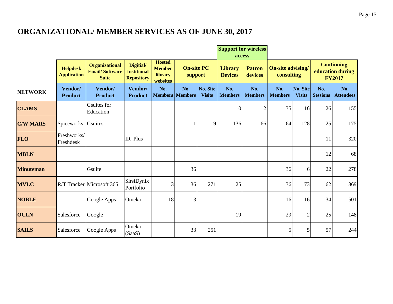#### **ORGANIZATIONAL/ MEMBER SERVICES AS OF JUNE 30, 2017**

|                  |                                       |                                                                |                                                      |                                                       |                              |                                  | <b>Support for wireless</b><br>access |                          |                                        |                           |                        |                                                        |
|------------------|---------------------------------------|----------------------------------------------------------------|------------------------------------------------------|-------------------------------------------------------|------------------------------|----------------------------------|---------------------------------------|--------------------------|----------------------------------------|---------------------------|------------------------|--------------------------------------------------------|
|                  | <b>Helpdesk</b><br><b>Application</b> | <b>Organizational</b><br><b>Email/Software</b><br><b>Suite</b> | Digitial/<br><b>Institional</b><br><b>Repository</b> | <b>Hosted</b><br><b>Member</b><br>library<br>websites | <b>On-site PC</b><br>support |                                  | <b>Library</b><br><b>Devices</b>      | <b>Patron</b><br>devices | <b>On-site advising/</b><br>consulting |                           |                        | <b>Continuing</b><br>education during<br><b>FY2017</b> |
| <b>NETWORK</b>   | Vendor/<br><b>Product</b>             | Vendor/<br><b>Product</b>                                      | Vendor/<br><b>Product</b>                            | No.<br><b>Members</b> Members                         | No.                          | <b>No. Site</b><br><b>Visits</b> | No.<br><b>Members</b>                 | No.<br><b>Members</b>    | No.<br><b>Members</b>                  | No. Site<br><b>Visits</b> | No.<br><b>Sessions</b> | No.<br><b>Attendees</b>                                |
| <b>CLAMS</b>     |                                       | Gsuites for<br>Education                                       |                                                      |                                                       |                              |                                  | 10                                    | $\overline{c}$           | 35                                     | 16                        | 26                     | 155                                                    |
| <b>C/W MARS</b>  | Spiceworks                            | <b>Gsuites</b>                                                 |                                                      |                                                       |                              | 9                                | 136                                   | 66                       | 64                                     | 128                       | 25                     | 175                                                    |
| <b>FLO</b>       | Freshworks/<br>Freshdesk              |                                                                | IR_Plus                                              |                                                       |                              |                                  |                                       |                          |                                        |                           | 11                     | 320                                                    |
| <b>MBLN</b>      |                                       |                                                                |                                                      |                                                       |                              |                                  |                                       |                          |                                        |                           | 12                     | 68                                                     |
| <b>Minuteman</b> |                                       | Gsuite                                                         |                                                      |                                                       | 36                           |                                  |                                       |                          | 36                                     | $6 \mid$                  | 22                     | 278                                                    |
| <b>MVLC</b>      |                                       | R/T Tracker Microsoft 365                                      | SirsiDynix<br>Portfolio                              | 3                                                     | 36                           | 271                              | 25                                    |                          | 36                                     | 73                        | 62                     | 869                                                    |
| <b>NOBLE</b>     |                                       | Google Apps                                                    | Omeka                                                | 18                                                    | 13                           |                                  |                                       |                          | 16                                     | 16                        | 34                     | 501                                                    |
| <b>OCLN</b>      | Salesforce                            | Google                                                         |                                                      |                                                       |                              |                                  | 19                                    |                          | 29                                     | $\overline{2}$            | 25                     | 148                                                    |
| <b>SAILS</b>     | Salesforce                            | Google Apps                                                    | Omeka<br>(SaaS)                                      |                                                       | 33                           | 251                              |                                       |                          | 5                                      | 5                         | 57                     | 244                                                    |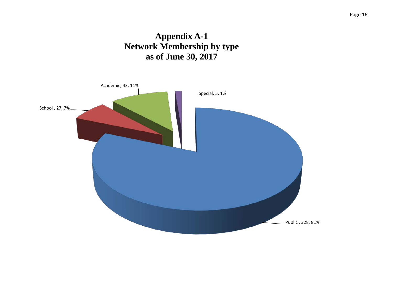#### **Appendix A-1 Network Membership by type as of June 30, 2017**

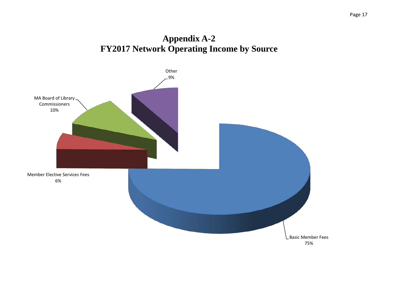#### **Appendix A-2 FY2017 Network Operating Income by Source**

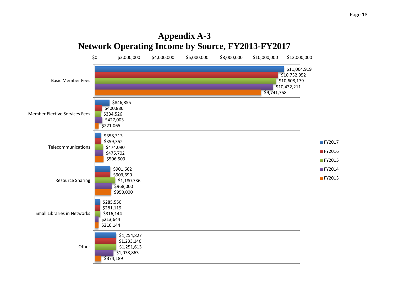#### **Appendix A-3 Network Operating Income by Source, FY2013-FY2017**

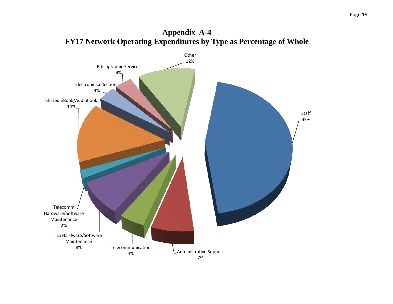

**Appendix A-4**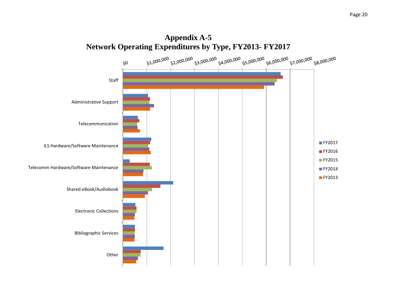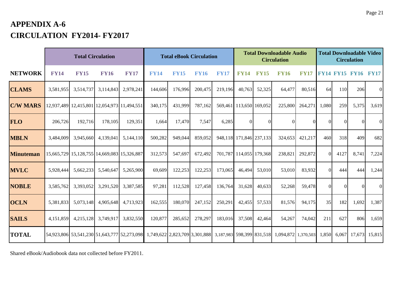#### **APPENDIX A-6 CIRCULATION FY2014- FY2017**

|                  |             | <b>Total Circulation</b>                    |             |                                                                                                                         |             | <b>Total eBook Circulation</b> |             |             |                         | <b>Total Downloadable Audio</b><br><b>Circulation</b> |             |             |          |          | <b>Total Downloadable Video</b><br><b>Circulation</b> |          |  |  |
|------------------|-------------|---------------------------------------------|-------------|-------------------------------------------------------------------------------------------------------------------------|-------------|--------------------------------|-------------|-------------|-------------------------|-------------------------------------------------------|-------------|-------------|----------|----------|-------------------------------------------------------|----------|--|--|
| <b>NETWORK</b>   | <b>FY14</b> | <b>FY15</b>                                 | <b>FY16</b> | <b>FY17</b>                                                                                                             | <b>FY14</b> | <b>FY15</b>                    | <b>FY16</b> | <b>FY17</b> | <b>FY14</b>             | <b>FY15</b>                                           | <b>FY16</b> | <b>FY17</b> |          |          | <b>FY14 FY15 FY16 FY17</b>                            |          |  |  |
| <b>CLAMS</b>     | 3,581,955   | 3,514,737                                   | 3,114,843   | 2,978,241                                                                                                               | 144,606     | 176,996                        | 200,475     | 219,196     | 40,763                  | 52,325                                                | 64,477      | 80,516      | 64       | 110      | 206                                                   | $\Omega$ |  |  |
| <b>C/W MARS</b>  |             | 12,937,489 12,415,801 12,054,973 11,494,551 |             |                                                                                                                         | 340,175     | 431,999                        | 787,162     |             | 569,461 113,650 169,052 |                                                       | 225,800     | 264,271     | 1,080    | 259      | 5,375                                                 | 3,619    |  |  |
| <b>FLO</b>       | 206,726     | 192,716                                     | 178,105     | 129,351                                                                                                                 | 1,664       | 17,470                         | 7,547       | 6,285       | $\Omega$                | $\Omega$                                              |             |             | 0        |          | $\Omega$                                              | $\Omega$ |  |  |
| <b>MBLN</b>      | 3,484,009   | 3,945,660                                   | 4,139,041   | 5,144,110                                                                                                               | 500,282     | 949,044                        | 859,052     |             | 948,118 171,846 237,133 |                                                       | 324.653     | 421,217     | 460      | 318      | 409                                                   | 682      |  |  |
| <b>Minuteman</b> |             | 15,665,729 15,128,755 14,669,083 15,326,887 |             |                                                                                                                         | 312,573     | 547,697                        | 672,492     |             | 701,787 114,055 179,368 |                                                       | 238,821     | 292,872     | $\Omega$ | 4127     | 8,741                                                 | 7,224    |  |  |
| <b>MVLC</b>      | 5,928,444   | 5,662,233                                   | 5,540,647   | 5,265,900                                                                                                               | 69,609      | 122,253                        | 122,253     | 173,065     | 46,494                  | 53,010                                                | 53,010      | 83,932      | $\Omega$ | 444      | 444                                                   | 1,244    |  |  |
| <b>NOBLE</b>     | 3,585,762   | 3,393,052                                   | 3,291,520   | 3,387,585                                                                                                               | 97,281      | 112,528                        | 127,458     | 136,764     | 31,628                  | 40,633                                                | 52,268      | 59,478      | $\Omega$ | $\Omega$ | $\Omega$                                              | $\Omega$ |  |  |
| <b>OCLN</b>      | 5,381,833   | 5,073,148                                   | 4,905,648   | 4,713,923                                                                                                               | 162,555     | 180,070                        | 247,152     | 250,291     | 42,455                  | 57,533                                                | 81,576      | 94,175      | 35       | 182      | 1,692                                                 | 1,387    |  |  |
| <b>SAILS</b>     | 4,151,859   | 4,215,128                                   | 3,749,917   | 3,832,550                                                                                                               | 120,877     | 285,652                        | 278,297     | 183,016     | 37,508                  | 42,464                                                | 54,267      | 74,042      | 211      | 627      | 806                                                   | 1,659    |  |  |
| <b>TOTAL</b>     |             |                                             |             | 54,923,806 53,541,230 51,643,777 52,273,098 1,749,622 2,823,709 3,301,888 3,187,983 598,399 831,518 1,094,872 1,370,503 |             |                                |             |             |                         |                                                       |             |             | 1,850    | 6,067    | 17,673                                                | 15,815   |  |  |

Shared eBook/Audiobook data not collected before FY2011.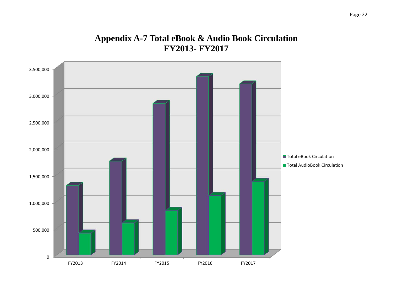#### **Appendix A-7 Total eBook & Audio Book Circulation FY2013- FY2017**

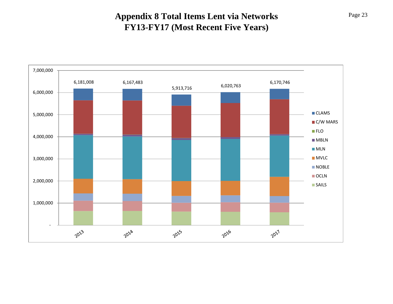#### **Appendix 8 Total Items Lent via Networks FY13-FY17 (Most Recent Five Years)**

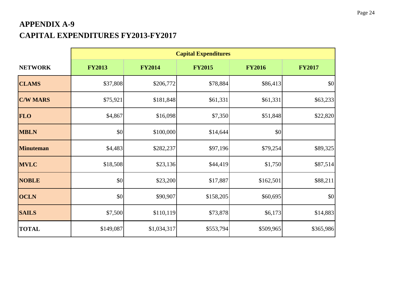#### **APPENDIX A-9 CAPITAL EXPENDITURES FY2013-FY2017**

|                  | <b>Capital Expenditures</b> |               |               |               |               |  |  |  |  |  |  |  |
|------------------|-----------------------------|---------------|---------------|---------------|---------------|--|--|--|--|--|--|--|
| <b>NETWORK</b>   | <b>FY2013</b>               | <b>FY2014</b> | <b>FY2015</b> | <b>FY2016</b> | <b>FY2017</b> |  |  |  |  |  |  |  |
| <b>CLAMS</b>     | \$37,808                    | \$206,772     | \$78,884      | \$86,413      | \$0           |  |  |  |  |  |  |  |
| <b>C/W MARS</b>  | \$75,921                    | \$181,848     | \$61,331      | \$61,331      | \$63,233      |  |  |  |  |  |  |  |
| <b>FLO</b>       | \$4,867                     | \$16,098      | \$7,350       | \$51,848      | \$22,820      |  |  |  |  |  |  |  |
| <b>MBLN</b>      | \$0                         | \$100,000     | \$14,644      | \$0           |               |  |  |  |  |  |  |  |
| <b>Minuteman</b> | \$4,483                     | \$282,237     | \$97,196      | \$79,254      | \$89,325      |  |  |  |  |  |  |  |
| <b>MVLC</b>      | \$18,508                    | \$23,136      | \$44,419      | \$1,750       | \$87,514      |  |  |  |  |  |  |  |
| <b>NOBLE</b>     | \$0                         | \$23,200      | \$17,887      | \$162,501     | \$88,211      |  |  |  |  |  |  |  |
| <b>OCLN</b>      | \$0                         | \$90,907      | \$158,205     | \$60,695      | \$0           |  |  |  |  |  |  |  |
| <b>SAILS</b>     | \$7,500                     | \$110,119     | \$73,878      | \$6,173       | \$14,883      |  |  |  |  |  |  |  |
| <b>TOTAL</b>     | \$149,087                   | \$1,034,317   | \$553,794     | \$509,965     | \$365,986     |  |  |  |  |  |  |  |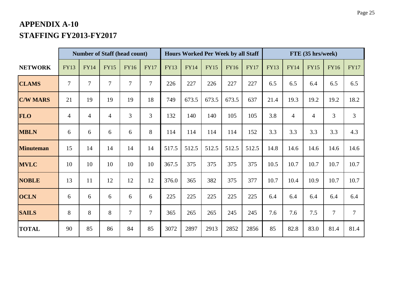#### **APPENDIX A-10 STAFFING FY2013-FY2017**

|                  |                | <b>Number of Staff (head count)</b> |                |                | <b>Hours Worked Per Week by all Staff</b> |             |             |             |             | FTE (35 hrs/week) |             |                |                |                |                |
|------------------|----------------|-------------------------------------|----------------|----------------|-------------------------------------------|-------------|-------------|-------------|-------------|-------------------|-------------|----------------|----------------|----------------|----------------|
| <b>NETWORK</b>   | <b>FY13</b>    | <b>FY14</b>                         | <b>FY15</b>    | <b>FY16</b>    | <b>FY17</b>                               | <b>FY13</b> | <b>FY14</b> | <b>FY15</b> | <b>FY16</b> | <b>FY17</b>       | <b>FY13</b> | <b>FY14</b>    | <b>FY15</b>    | <b>FY16</b>    | <b>FY17</b>    |
| <b>CLAMS</b>     | $\overline{7}$ | $\tau$                              | 7              | $\overline{7}$ | $\overline{7}$                            | 226         | 227         | 226         | 227         | 227               | 6.5         | 6.5            | 6.4            | 6.5            | 6.5            |
| <b>C/W MARS</b>  | 21             | 19                                  | 19             | 19             | 18                                        | 749         | 673.5       | 673.5       | 673.5       | 637               | 21.4        | 19.3           | 19.2           | 19.2           | 18.2           |
| <b>FLO</b>       | $\overline{4}$ | $\overline{4}$                      | $\overline{4}$ | 3              | $\overline{3}$                            | 132         | 140         | 140         | 105         | 105               | 3.8         | $\overline{4}$ | $\overline{4}$ | 3              | $\mathfrak{Z}$ |
| <b>MBLN</b>      | 6              | 6                                   | 6              | 6              | 8                                         | 114         | 114         | 114         | 114         | 152               | 3.3         | 3.3            | 3.3            | 3.3            | 4.3            |
| <b>Minuteman</b> | 15             | 14                                  | 14             | 14             | 14                                        | 517.5       | 512.5       | 512.5       | 512.5       | 512.5             | 14.8        | 14.6           | 14.6           | 14.6           | 14.6           |
| <b>MVLC</b>      | 10             | 10                                  | 10             | 10             | 10                                        | 367.5       | 375         | 375         | 375         | 375               | 10.5        | 10.7           | 10.7           | 10.7           | 10.7           |
| <b>NOBLE</b>     | 13             | 11                                  | 12             | 12             | 12                                        | 376.0       | 365         | 382         | 375         | 377               | 10.7        | 10.4           | 10.9           | 10.7           | 10.7           |
| <b>OCLN</b>      | 6              | 6                                   | 6              | 6              | 6                                         | 225         | 225         | 225         | 225         | 225               | 6.4         | 6.4            | 6.4            | 6.4            | 6.4            |
| <b>SAILS</b>     | 8              | 8                                   | 8              | $\overline{7}$ | $\overline{7}$                            | 365         | 265         | 265         | 245         | 245               | 7.6         | 7.6            | 7.5            | $\overline{7}$ | $\tau$         |
| <b>TOTAL</b>     | 90             | 85                                  | 86             | 84             | 85                                        | 3072        | 2897        | 2913        | 2852        | 2856              | 85          | 82.8           | 83.0           | 81.4           | 81.4           |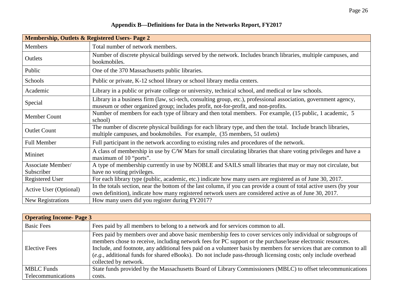|  |  |  |  |  |  |  |  |  | Appendix B-Definitions for Data in the Networks Report, FY2017 |  |  |
|--|--|--|--|--|--|--|--|--|----------------------------------------------------------------|--|--|
|--|--|--|--|--|--|--|--|--|----------------------------------------------------------------|--|--|

| <b>Membership, Outlets &amp; Registered Users- Page 2</b> |                                                                                                                                                                                                                                |
|-----------------------------------------------------------|--------------------------------------------------------------------------------------------------------------------------------------------------------------------------------------------------------------------------------|
| <b>Members</b>                                            | Total number of network members.                                                                                                                                                                                               |
| Outlets                                                   | Number of discrete physical buildings served by the network. Includes branch libraries, multiple campuses, and<br>bookmobiles.                                                                                                 |
| Public                                                    | One of the 370 Massachusetts public libraries.                                                                                                                                                                                 |
| Schools                                                   | Public or private, K-12 school library or school library media centers.                                                                                                                                                        |
| Academic                                                  | Library in a public or private college or university, technical school, and medical or law schools.                                                                                                                            |
| Special                                                   | Library in a business firm (law, sci-tech, consulting group, etc.), professional association, government agency,<br>museum or other organized group; includes profit, not-for-profit, and non-profits.                         |
| Member Count                                              | Number of members for each type of library and then total members. For example, (15 public, 1 academic, 5<br>school)                                                                                                           |
| <b>Outlet Count</b>                                       | The number of discrete physical buildings for each library type, and then the total. Include branch libraries,<br>multiple campuses, and bookmobiles. For example, (35 members, 51 outlets)                                    |
| <b>Full Member</b>                                        | Full participant in the network according to existing rules and procedures of the network.                                                                                                                                     |
| Mininet                                                   | A class of membership in use by C/W Mars for small circulating libraries that share voting privileges and have a<br>maximum of 10 "ports".                                                                                     |
| Associate Member/<br>Subscriber                           | A type of membership currently in use by NOBLE and SAILS small libraries that may or may not circulate, but<br>have no voting privileges.                                                                                      |
| <b>Registered User</b>                                    | For each library type (public, academic, etc.) indicate how many users are registered as of June 30, 2017.                                                                                                                     |
| Active User (Optional)                                    | In the totals section, near the bottom of the last column, if you can provide a count of total active users (by your<br>own definition), indicate how many registered network users are considered active as of June 30, 2017. |
| New Registrations                                         | How many users did you register during FY2017?                                                                                                                                                                                 |

| <b>Operating Income-Page 3</b> |                                                                                                                                                                                                                                                                                                                                                                                                                                                                                              |
|--------------------------------|----------------------------------------------------------------------------------------------------------------------------------------------------------------------------------------------------------------------------------------------------------------------------------------------------------------------------------------------------------------------------------------------------------------------------------------------------------------------------------------------|
| <b>Basic Fees</b>              | Fees paid by all members to belong to a network and for services common to all.                                                                                                                                                                                                                                                                                                                                                                                                              |
| <b>Elective Fees</b>           | Fees paid by members over and above basic membership fees to cover services only individual or subgroups of<br>members chose to receive, including network fees for PC support or the purchase/lease electronic resources.<br>Include, and footnote, any additional fees paid on a volunteer basis by members for services that are common to all<br>(e.g., additional funds for shared eBooks). Do not include pass-through licensing costs; only include overhead<br>collected by network. |
| <b>MBLC</b> Funds              | State funds provided by the Massachusetts Board of Library Commissioners (MBLC) to offset telecommunications                                                                                                                                                                                                                                                                                                                                                                                 |
| Telecommunications             | costs.                                                                                                                                                                                                                                                                                                                                                                                                                                                                                       |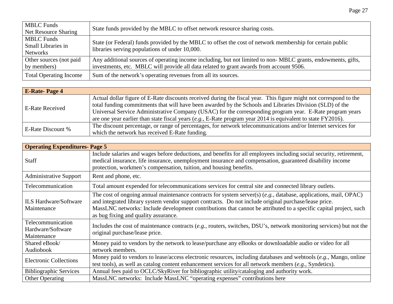| Page 27 |
|---------|
|         |

| <b>MBLC</b> Funds<br>Net Resource Sharing           | State funds provided by the MBLC to offset network resource sharing costs.                                                                                                                              |
|-----------------------------------------------------|---------------------------------------------------------------------------------------------------------------------------------------------------------------------------------------------------------|
| <b>MBLC</b> Funds<br>Small Libraries in<br>Networks | State (or Federal) funds provided by the MBLC to offset the cost of network membership for certain public<br>libraries serving populations of under 10,000.                                             |
| Other sources (not paid<br>by members)              | Any additional sources of operating income including, but not limited to non-MBLC grants, endowments, gifts,<br>investments, etc. MBLC will provide all data related to grant awards from account 9506. |
| <b>Total Operating Income</b>                       | Sum of the network's operating revenues from all its sources.                                                                                                                                           |

| <b>E-Rate-Page 4</b>   |                                                                                                                   |
|------------------------|-------------------------------------------------------------------------------------------------------------------|
| <b>E-Rate Received</b> | Actual dollar figure of E-Rate discounts received during the fiscal year. This figure might not correspond to the |
|                        | total funding commitments that will have been awarded by the Schools and Libraries Division (SLD) of the          |
|                        | Universal Service Administrative Company (USAC) for the corresponding program year. E-Rate program years          |
|                        | are one year earlier than state fiscal years (e.g., E-Rate program year 2014 is equivalent to state FY2016).      |
|                        | The discount percentage, or range of percentages, for network telecommunications and/or Internet services for     |
| E-Rate Discount %      | which the network has received E-Rate funding.                                                                    |

| <b>Operating Expenditures-Page 5</b>                  |                                                                                                                                                                                                                                                                                                                                                                                           |  |  |  |
|-------------------------------------------------------|-------------------------------------------------------------------------------------------------------------------------------------------------------------------------------------------------------------------------------------------------------------------------------------------------------------------------------------------------------------------------------------------|--|--|--|
| <b>Staff</b>                                          | Include salaries and wages before deductions, and benefits for all employees including social security, retirement,<br>medical insurance, life insurance, unemployment insurance and compensation, guaranteed disability income<br>protection, workmen's compensation, tuition, and housing benefits.                                                                                     |  |  |  |
| <b>Administrative Support</b>                         | Rent and phone, etc.                                                                                                                                                                                                                                                                                                                                                                      |  |  |  |
| Telecommunication                                     | Total amount expended for telecommunications services for central site and connected library outlets.                                                                                                                                                                                                                                                                                     |  |  |  |
| <b>ILS Hardware/Software</b><br>Maintenance           | The cost of ongoing annual maintenance contracts for system server(s) $(e.g., data base, applications, mail, OPAC)$<br>and integrated library system vendor support contracts. Do not include original purchase/lease price.<br>MassLNC networks: Include development contributions that cannot be attributed to a specific capital project, such<br>as bug fixing and quality assurance. |  |  |  |
| Telecommunication<br>Hardware/Software<br>Maintenance | Includes the cost of maintenance contracts (e.g., routers, switches, DSU's, network monitoring services) but not the<br>original purchase/lease price.                                                                                                                                                                                                                                    |  |  |  |
| Shared eBook/<br>Audiobook                            | Money paid to vendors by the network to lease/purchase any eBooks or downloadable audio or video for all<br>network members.                                                                                                                                                                                                                                                              |  |  |  |
| <b>Electronic Collections</b>                         | Money paid to vendors to lease/access electronic resources, including databases and webtools (e.g., Mango, online<br>test tools), as well as catalog content enhancement services for all network members (e.g., Syndetics).                                                                                                                                                              |  |  |  |
| <b>Bibliographic Services</b>                         | Annual fees paid to OCLC/SkyRiver for bibliographic utility/cataloging and authority work.                                                                                                                                                                                                                                                                                                |  |  |  |
| <b>Other Operating</b>                                | MassLNC networks: Include MassLNC "operating expenses" contributions here                                                                                                                                                                                                                                                                                                                 |  |  |  |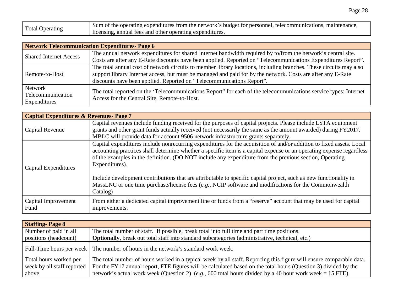| Total Operating | Sum of the operating expenditures from the network's budget for personnel, telecommunications, maintenance, |
|-----------------|-------------------------------------------------------------------------------------------------------------|
|                 | licensing, annual fees and other operating expenditures.                                                    |

| <b>Network Telecommunication Expenditures-Page 6</b> |                                                                                                                                                                                                                                                                                                             |  |  |
|------------------------------------------------------|-------------------------------------------------------------------------------------------------------------------------------------------------------------------------------------------------------------------------------------------------------------------------------------------------------------|--|--|
| <b>Shared Internet Access</b>                        | The annual network expenditures for shared Internet bandwidth required by to/from the network's central site.<br>Costs are after any E-Rate discounts have been applied. Reported on "Telecommunications Expenditures Report".                                                                              |  |  |
| Remote-to-Host                                       | The total annual cost of network circuits to member library locations, including branches. These circuits may also<br>support library Internet access, but must be managed and paid for by the network. Costs are after any E-Rate<br>discounts have been applied. Reported on "Telecommunications Report". |  |  |
| Network<br>Telecommunication<br>Expenditures         | The total reported on the 'Telecommunications Report' for each of the telecommunications service types: Internet<br>Access for the Central Site, Remote-to-Host.                                                                                                                                            |  |  |

| <b>Capital Expenditures &amp; Revenues- Page 7</b> |                                                                                                                                                                                                                                                                                                                                                                           |  |  |  |
|----------------------------------------------------|---------------------------------------------------------------------------------------------------------------------------------------------------------------------------------------------------------------------------------------------------------------------------------------------------------------------------------------------------------------------------|--|--|--|
| Capital Revenue                                    | Capital revenues include funding received for the purposes of capital projects. Please include LSTA equipment<br>grants and other grant funds actually received (not necessarily the same as the amount awarded) during FY2017.<br>MBLC will provide data for account 9506 network infrastructure grants separately.                                                      |  |  |  |
| Capital Expenditures                               | Capital expenditures include nonrecurring expenditures for the acquisition of and/or addition to fixed assets. Local<br>accounting practices shall determine whether a specific item is a capital expense or an operating expense regardless<br>of the examples in the definition. (DO NOT include any expenditure from the previous section, Operating<br>Expenditures). |  |  |  |
|                                                    | Include development contributions that are attributable to specific capital project, such as new functionality in<br>MassLNC or one time purchase/license fees (e.g., NCIP software and modifications for the Commonwealth<br>Catalog)                                                                                                                                    |  |  |  |
| Capital Improvement<br>Fund                        | From either a dedicated capital improvement line or funds from a "reserve" account that may be used for capital<br>improvements.                                                                                                                                                                                                                                          |  |  |  |

| <b>Staffing-Page 8</b>     |                                                                                                                     |  |  |
|----------------------------|---------------------------------------------------------------------------------------------------------------------|--|--|
| Number of paid in all      | The total number of staff. If possible, break total into full time and part time positions.                         |  |  |
| positions (headcount)      | Optionally, break out total staff into standard subcategories (administrative, technical, etc.)                     |  |  |
|                            | Full-Time hours per week The number of hours in the network's standard work week.                                   |  |  |
| Total hours worked per     | The total number of hours worked in a typical week by all staff. Reporting this figure will ensure comparable data. |  |  |
| week by all staff reported | For the FY17 annual report, FTE figures will be calculated based on the total hours (Question 3) divided by the     |  |  |
| above                      | network's actual work week (Question 2) (e.g., 600 total hours divided by a 40 hour work week = 15 FTE).            |  |  |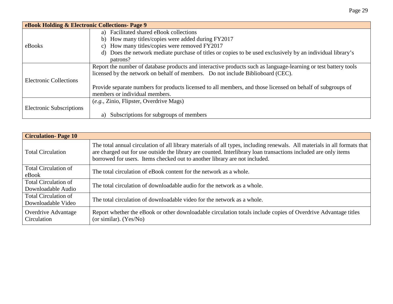| eBook Holding & Electronic Collections- Page 9                                                              |                                                                                                                 |  |  |
|-------------------------------------------------------------------------------------------------------------|-----------------------------------------------------------------------------------------------------------------|--|--|
|                                                                                                             | a) Facilitated shared eBook collections                                                                         |  |  |
|                                                                                                             | b) How many titles/copies were added during FY2017                                                              |  |  |
| eBooks                                                                                                      | c) How many titles/copies were removed FY2017                                                                   |  |  |
|                                                                                                             | d) Does the network mediate purchase of titles or copies to be used exclusively by an individual library's      |  |  |
|                                                                                                             | patrons?                                                                                                        |  |  |
|                                                                                                             | Report the number of database products and interactive products such as language-learning or test battery tools |  |  |
|                                                                                                             | licensed by the network on behalf of members. Do not include Biblioboard (CEC).                                 |  |  |
| <b>Electronic Collections</b>                                                                               |                                                                                                                 |  |  |
| Provide separate numbers for products licensed to all members, and those licensed on behalf of subgroups of |                                                                                                                 |  |  |
|                                                                                                             | members or individual members.                                                                                  |  |  |
|                                                                                                             | (e.g., Zinio, Flipster, Overdrive Mags)                                                                         |  |  |
| <b>Electronic Subscriptions</b>                                                                             |                                                                                                                 |  |  |
|                                                                                                             | Subscriptions for subgroups of members<br>a)                                                                    |  |  |

| <b>Circulation-Page 10</b>                        |                                                                                                                                                                                                                                                                                                                            |  |
|---------------------------------------------------|----------------------------------------------------------------------------------------------------------------------------------------------------------------------------------------------------------------------------------------------------------------------------------------------------------------------------|--|
| <b>Total Circulation</b>                          | The total annual circulation of all library materials of all types, including renewals. All materials in all formats that<br>are charged out for use outside the library are counted. Interlibrary loan transactions included are only items<br>borrowed for users. Items checked out to another library are not included. |  |
| <b>Total Circulation of</b><br>eBook              | The total circulation of eBook content for the network as a whole.                                                                                                                                                                                                                                                         |  |
| <b>Total Circulation of</b><br>Downloadable Audio | The total circulation of downloadable audio for the network as a whole.                                                                                                                                                                                                                                                    |  |
| Total Circulation of<br>Downloadable Video        | The total circulation of downloadable video for the network as a whole.                                                                                                                                                                                                                                                    |  |
| Overdrive Advantage<br>Circulation                | Report whether the eBook or other downloadable circulation totals include copies of Overdrive Advantage titles<br>(or similar). $(Yes/No)$                                                                                                                                                                                 |  |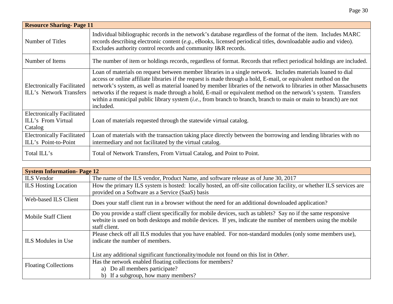| <b>Resource Sharing-Page 11</b>                                     |                                                                                                                                                                                                                                                                                                                                                                                                                                                                                                                                                                                                           |  |  |  |
|---------------------------------------------------------------------|-----------------------------------------------------------------------------------------------------------------------------------------------------------------------------------------------------------------------------------------------------------------------------------------------------------------------------------------------------------------------------------------------------------------------------------------------------------------------------------------------------------------------------------------------------------------------------------------------------------|--|--|--|
| Number of Titles                                                    | Individual bibliographic records in the network's database regardless of the format of the item. Includes MARC<br>records describing electronic content (e.g., eBooks, licensed periodical titles, downloadable audio and video).<br>Excludes authority control records and community I&R records.                                                                                                                                                                                                                                                                                                        |  |  |  |
| Number of Items                                                     | The number of item or holdings records, regardless of format. Records that reflect periodical holdings are included.                                                                                                                                                                                                                                                                                                                                                                                                                                                                                      |  |  |  |
| <b>Electronically Facilitated</b><br><b>ILL's Network Transfers</b> | Loan of materials on request between member libraries in a single network. Includes materials loaned to dial<br>access or online affiliate libraries if the request is made through a hold, E-mail, or equivalent method on the<br>network's system, as well as material loaned by member libraries of the network to libraries in other Massachusetts<br>networks if the request is made through a hold, E-mail or equivalent method on the network's system. Transfers<br>within a municipal public library system (i.e., from branch to branch, branch to main or main to branch) are not<br>included. |  |  |  |
| <b>Electronically Facilitated</b><br>ILL's From Virtual<br>Catalog  | Loan of materials requested through the statewide virtual catalog.                                                                                                                                                                                                                                                                                                                                                                                                                                                                                                                                        |  |  |  |
| <b>Electronically Facilitated</b><br>ILL's Point-to-Point           | Loan of materials with the transaction taking place directly between the borrowing and lending libraries with no<br>intermediary and not facilitated by the virtual catalog.                                                                                                                                                                                                                                                                                                                                                                                                                              |  |  |  |
| Total ILL's                                                         | Total of Network Transfers, From Virtual Catalog, and Point to Point.                                                                                                                                                                                                                                                                                                                                                                                                                                                                                                                                     |  |  |  |

| <b>System Information-Page 12</b>      |                                                                                                                     |  |  |  |
|----------------------------------------|---------------------------------------------------------------------------------------------------------------------|--|--|--|
| <b>ILS</b> Vendor                      | The name of the ILS vendor, Product Name, and software release as of June 30, 2017                                  |  |  |  |
| <b>ILS Hosting Location</b>            | How the primary ILS system is hosted: locally hosted, an off-site collocation facility, or whether ILS services are |  |  |  |
|                                        | provided on a Software as a Service (SaaS) basis                                                                    |  |  |  |
| Web-based ILS Client                   | Does your staff client run in a browser without the need for an additional downloaded application?                  |  |  |  |
| Mobile Staff Client                    | Do you provide a staff client specifically for mobile devices, such as tablets? Say no if the same responsive       |  |  |  |
|                                        | website is used on both desktops and mobile devices. If yes, indicate the number of members using the mobile        |  |  |  |
|                                        | staff client.                                                                                                       |  |  |  |
|                                        | Please check off all ILS modules that you have enabled. For non-standard modules (only some members use),           |  |  |  |
| ILS Modules in Use                     | indicate the number of members.                                                                                     |  |  |  |
|                                        |                                                                                                                     |  |  |  |
|                                        | List any additional significant functionality/module not found on this list in Other.                               |  |  |  |
| <b>Floating Collections</b>            | Has the network enabled floating collections for members?                                                           |  |  |  |
|                                        | a) Do all members participate?                                                                                      |  |  |  |
| If a subgroup, how many members?<br>b) |                                                                                                                     |  |  |  |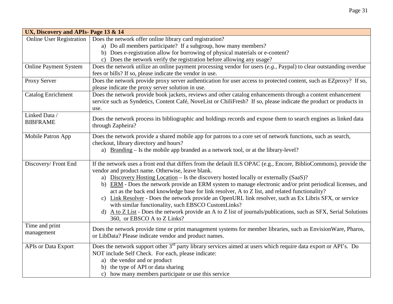| UX, Discovery and APIs- Page 13 & 14 |                                                                                                                                                                                                                                               |  |  |  |
|--------------------------------------|-----------------------------------------------------------------------------------------------------------------------------------------------------------------------------------------------------------------------------------------------|--|--|--|
| <b>Online User Registration</b>      | Does the network offer online library card registration?                                                                                                                                                                                      |  |  |  |
|                                      | a) Do all members participate? If a subgroup, how many members?                                                                                                                                                                               |  |  |  |
|                                      | b) Does e-registration allow for borrowing of physical materials or e-content?                                                                                                                                                                |  |  |  |
|                                      | c) Does the network verify the registration before allowing any usage?                                                                                                                                                                        |  |  |  |
| <b>Online Payment System</b>         | Does the network utilize an online payment processing vendor for users (e.g., Paypal) to clear outstanding overdue<br>fees or bills? If so, please indicate the vendor in use.                                                                |  |  |  |
| Proxy Server                         | Does the network provide proxy server authentication for user access to protected content, such as EZproxy? If so,<br>please indicate the proxy server solution in use.                                                                       |  |  |  |
| <b>Catalog Enrichment</b>            | Does the network provide book jackets, reviews and other catalog enhancements through a content enhancement<br>service such as Syndetics, Content Café, NoveList or ChiliFresh? If so, please indicate the product or products in<br>use.     |  |  |  |
| Linked Data /<br><b>BIBFRAME</b>     | Does the network process its bibliographic and holdings records and expose them to search engines as linked data<br>through Zapheira?                                                                                                         |  |  |  |
| Mobile Patron App                    | Does the network provide a shared mobile app for patrons to a core set of network functions, such as search,<br>checkout, library directory and hours?<br>a) Branding – Is the mobile app branded as a network tool, or at the library-level? |  |  |  |
| Discovery/Front End                  | If the network uses a front end that differs from the default ILS OPAC (e.g., Encore, BiblioCommons), provide the<br>vendor and product name. Otherwise, leave blank.                                                                         |  |  |  |
|                                      | a) Discovery Hosting Location – Is the discovery hosted locally or externally (SaaS)?                                                                                                                                                         |  |  |  |
|                                      | b) ERM - Does the network provide an ERM system to manage electronic and/or print periodical licenses, and<br>act as the back end knowledge base for link resolver, A to Z list, and related functionality?                                   |  |  |  |
|                                      | c) Link Resolver - Does the network provide an OpenURL link resolver, such as Ex Libris SFX, or service<br>with similar functionality, such EBSCO CustomLinks?                                                                                |  |  |  |
|                                      | A to Z List - Does the network provide an A to Z list of journals/publications, such as SFX, Serial Solutions<br>d)<br>360, or EBSCO A to Z Links?                                                                                            |  |  |  |
| Time and print<br>management         | Does the network provide time or print management systems for member libraries, such as EnvisionWare, Pharos,<br>or LibData? Please indicate vendor and product names.                                                                        |  |  |  |
| <b>APIs or Data Export</b>           | Does the network support other 3 <sup>rd</sup> party library services aimed at users which require data export or API's. Do                                                                                                                   |  |  |  |
|                                      | NOT include Self Check. For each, please indicate:                                                                                                                                                                                            |  |  |  |
|                                      | a) the vendor and or product                                                                                                                                                                                                                  |  |  |  |
|                                      | b) the type of API or data sharing                                                                                                                                                                                                            |  |  |  |
|                                      | c) how many members participate or use this service                                                                                                                                                                                           |  |  |  |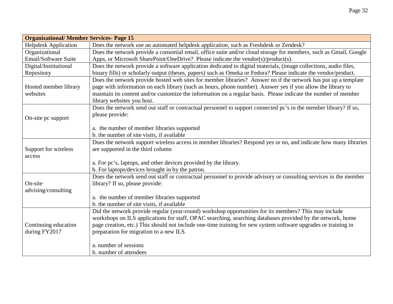| <b>Organizational/ Member Services- Page 15</b> |                                                                                                                   |  |  |  |
|-------------------------------------------------|-------------------------------------------------------------------------------------------------------------------|--|--|--|
| <b>Helpdesk Application</b>                     | Does the network use an automated helpdesk application, such as Freshdesk or Zendesk?                             |  |  |  |
| Organizational                                  | Does the network provide a consortial email, office suite and/or cloud storage for members, such as Gmail, Google |  |  |  |
| Email/Software Suite                            | Apps, or Microsoft SharePoint/OneDrive? Please indicate the vendor(s)/product(s).                                 |  |  |  |
| Digital/Institutional                           | Does the network provide a software application dedicated to digital materials, (image collections, audio files,  |  |  |  |
| Repository                                      | binary fills) or scholarly output (theses, papers) such as Omeka or Fedora? Please indicate the vendor/product.   |  |  |  |
|                                                 | Does the network provide hosted web sites for member libraries? Answer no if the network has put up a template    |  |  |  |
| Hosted member library                           | page with information on each library (such as hours, phone number). Answer yes if you allow the library to       |  |  |  |
| websites                                        | maintain its content and/or customize the information on a regular basis. Please indicate the number of member    |  |  |  |
|                                                 | library websites you host.                                                                                        |  |  |  |
|                                                 | Does the network send out staff or contractual personnel to support connected pc's in the member library? If so,  |  |  |  |
| On-site pc support                              | please provide:                                                                                                   |  |  |  |
|                                                 |                                                                                                                   |  |  |  |
|                                                 | a. the number of member libraries supported                                                                       |  |  |  |
|                                                 | b. the number of site visits, if available                                                                        |  |  |  |
|                                                 | Does the network support wireless access in member libraries? Respond yes or no, and indicate how many libraries  |  |  |  |
| Support for wireless                            | are supported in the third column                                                                                 |  |  |  |
| access                                          |                                                                                                                   |  |  |  |
|                                                 | a. For pc's, laptops, and other devices provided by the library.                                                  |  |  |  |
|                                                 | b. For laptops/devices brought in by the patron.                                                                  |  |  |  |
|                                                 | Does the network send out staff or contractual personnel to provide advisory or consulting services in the member |  |  |  |
| On-site                                         | library? If so, please provide:                                                                                   |  |  |  |
| advising/consulting                             |                                                                                                                   |  |  |  |
|                                                 | a. the number of member libraries supported                                                                       |  |  |  |
|                                                 | b. the number of site visits, if available                                                                        |  |  |  |
|                                                 | Did the network provide regular (year-round) workshop opportunities for its members? This may include             |  |  |  |
|                                                 | workshops on ILS applications for staff, OPAC searching, searching databases provided by the network, home        |  |  |  |
| Continuing education                            | page creation, etc.) This should not include one-time training for new system software upgrades or training in    |  |  |  |
| during FY2017                                   | preparation for migration to a new ILS.                                                                           |  |  |  |
|                                                 |                                                                                                                   |  |  |  |
|                                                 | a. number of sessions                                                                                             |  |  |  |
|                                                 | b. number of attendees                                                                                            |  |  |  |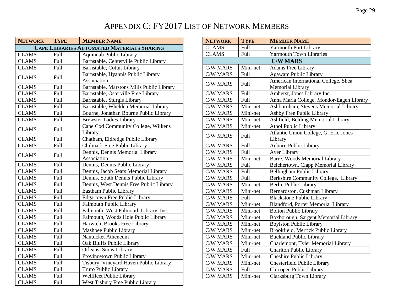#### APPENDIX C: FY2017 LIST OF NETWORK MEMBERS

| <b>NETWORK</b> | <b>TYPE</b> | <b>MEMBER NAME</b>                                |
|----------------|-------------|---------------------------------------------------|
|                |             | <b>CAPE LIBRARIES AUTOMATED MATERIALS SHARING</b> |
| <b>CLAMS</b>   | Full        | <b>Aquinnah Public Library</b>                    |
| <b>CLAMS</b>   | Full        | Barnstable, Centerville Public Library            |
| <b>CLAMS</b>   | Full        | Barnstable, Cotuit Library                        |
| <b>CLAMS</b>   | Full        | Barnstable, Hyannis Public Library                |
|                |             | Association                                       |
| <b>CLAMS</b>   | Full        | Barnstable, Marstons Mills Public Library         |
| <b>CLAMS</b>   | Full        | Barnstable, Osterville Free Library               |
| <b>CLAMS</b>   | Full        | Barnstable, Sturgis Library                       |
| <b>CLAMS</b>   | Full        | Barnstable, Whelden Memorial Library              |
| <b>CLAMS</b>   | <b>Full</b> | Bourne, Jonathan Bourne Public Library            |
| <b>CLAMS</b>   | Full        | <b>Brewster Ladies Library</b>                    |
|                |             | Cape Cod Community College, Wilkens               |
| <b>CLAMS</b>   | Full        | Library                                           |
| <b>CLAMS</b>   | Full        | Chatham, Eldredge Public Library                  |
| <b>CLAMS</b>   | <b>Full</b> | Chilmark Free Public Library                      |
|                |             | Dennis, Dennis Memorial Library                   |
| <b>CLAMS</b>   | Full        | Association                                       |
| <b>CLAMS</b>   | Full        | Dennis, Dennis Public Library                     |
| <b>CLAMS</b>   | Full        | Dennis, Jacob Sears Memorial Library              |
| <b>CLAMS</b>   | Full        | Dennis, South Dennis Public Library               |
| <b>CLAMS</b>   | Full        | Dennis, West Dennis Free Public Library           |
| <b>CLAMS</b>   | Full        | Eastham Public Library                            |
| <b>CLAMS</b>   | Full        | <b>Edgartown Free Public Library</b>              |
| <b>CLAMS</b>   | Full        | <b>Falmouth Public Library</b>                    |
| <b>CLAMS</b>   | Full        | Falmouth, West Falmouth Library, Inc.             |
| <b>CLAMS</b>   | Full        | Falmouth, Woods Hole Public Library               |
| <b>CLAMS</b>   | Full        | Harwich, Brooks Free Library                      |
| <b>CLAMS</b>   | Full        | Mashpee Public Library                            |
| <b>CLAMS</b>   | Full        | Nantucket Atheneum                                |
| <b>CLAMS</b>   | Full        | Oak Bluffs Public Library                         |
| <b>CLAMS</b>   | <b>Full</b> | Orleans, Snow Library                             |
| <b>CLAMS</b>   | Full        | Provincetown Public Library                       |
| <b>CLAMS</b>   | Full        | Tisbury, Vineyard Haven Public Library            |
| <b>CLAMS</b>   | Full        | Truro Public Library                              |
| <b>CLAMS</b>   | Full        | Wellfleet Public Library                          |
| <b>CLAMS</b>   | Full        | West Tisbury Free Public Library                  |

| <b>NETWORK</b>  | <b>TYPE</b> | <b>MEMBER NAME</b>                                       |
|-----------------|-------------|----------------------------------------------------------|
| <b>CLAMS</b>    | Full        | <b>Yarmouth Port Library</b>                             |
| <b>CLAMS</b>    | <b>Full</b> | <b>Yarmouth Town Libraries</b>                           |
|                 |             | <b>C/W MARS</b>                                          |
| <b>C/W MARS</b> | Mini-net    | <b>Adams Free Library</b>                                |
| <b>C/W MARS</b> | Full        | Agawam Public Library                                    |
| <b>C/W MARS</b> | Full        | American International College, Shea<br>Memorial Library |
| <b>C/W MARS</b> | Full        | Amherst, Jones Library Inc.                              |
| C/W MARS        | Full        | Anna Maria College, Mondor-Eagen Library                 |
| <b>C/W MARS</b> | Mini-net    | Ashburnham, Stevens Memorial Library                     |
| <b>C/W MARS</b> | Mini-net    | Ashby Free Public Library                                |
| <b>C/W MARS</b> | Mini-net    | Ashfield, Belding Memorial Library                       |
| <b>C/W MARS</b> | Mini-net    | <b>Athol Public Library</b>                              |
| <b>C/W MARS</b> | Full        | Atlantic Union College, G. Eric Jones<br>Library         |
| <b>C/W MARS</b> | Full        | Auburn Public Library                                    |
| C/W MARS        | <b>Full</b> | Ayer Library                                             |
| <b>C/W MARS</b> | Mini-net    | Barre, Woods Memorial Library                            |
| C/W MARS        | Full        | Belchertown, Clapp Memorial Library                      |
| <b>C/W MARS</b> | Full        | Bellingham Public Library                                |
| <b>C/W MARS</b> | <b>Full</b> | Berkshire Community College, Library                     |
| <b>C/W MARS</b> | Mini-net    | Berlin Public Library                                    |
| C/W MARS        | Mini-net    | Bernardston, Cushman Library                             |
| <b>C/W MARS</b> | <b>Full</b> | <b>Blackstone Public Library</b>                         |
| <b>C/W MARS</b> | Mini-net    | Blandford, Porter Memorial Library                       |
| <b>C/W MARS</b> | Mini-net    | <b>Bolton Public Library</b>                             |
| <b>C/W MARS</b> | Mini-net    | Boxborough, Sargent Memorial Library                     |
| <b>C/W MARS</b> | Mini-net    | <b>Boylston Public Library</b>                           |
| <b>C/W MARS</b> | Mini-net    | Brookfield, Merrick Public Library                       |
| <b>C/W MARS</b> | Mini-net    | <b>Buckland Public Library</b>                           |
| <b>C/W MARS</b> | Mini-net    | Charlemont, Tyler Memorial Library                       |
| <b>C/W MARS</b> | Full        | <b>Charlton Public Library</b>                           |
| <b>C/W MARS</b> | Mini-net    | <b>Cheshire Public Library</b>                           |
| <b>C/W MARS</b> | Mini-net    | Chesterfield Public Library                              |
| <b>C/W MARS</b> | <b>Full</b> | Chicopee Public Library                                  |
| <b>C/W MARS</b> | Mini-net    | Clarksburg Town Library                                  |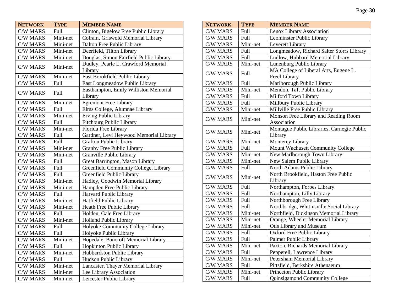| <b>NETWORK</b>  | <b>TYPE</b> | <b>MEMBER NAME</b>                      |
|-----------------|-------------|-----------------------------------------|
| <b>C/W MARS</b> | Full        | Clinton, Bigelow Free Public Library    |
| <b>C/W MARS</b> | Mini-net    | Colrain, Griswold Memorial Library      |
| <b>C/W MARS</b> | Mini-net    | Dalton Free Public Library              |
| <b>C/W MARS</b> | Mini-net    | Deerfield, Tilton Library               |
| <b>C/W MARS</b> | Mini-net    | Douglas, Simon Fairfield Public Library |
| <b>C/W MARS</b> | Mini-net    | Dudley, Pearle L. Crawford Memorial     |
|                 |             | Library                                 |
| <b>C/W MARS</b> | Mini-net    | East Brookfield Public Library          |
| <b>C/W MARS</b> | Full        | East Longmeadow Public Library          |
| <b>C/W MARS</b> | Full        | Easthampton, Emily Williston Memorial   |
|                 |             | Library                                 |
| <b>C/W MARS</b> | Mini-net    | <b>Egremont Free Library</b>            |
| <b>C/W MARS</b> | Full        | Elms College, Alumnae Library           |
| <b>C/W MARS</b> | Mini-net    | Erving Public Library                   |
| <b>C/W MARS</b> | Full        | Fitchburg Public Library                |
| <b>C/W MARS</b> | Mini-net    | Florida Free Library                    |
| <b>C/W MARS</b> | Full        | Gardner, Levi Heywood Memorial Library  |
| <b>C/W MARS</b> | Full        | <b>Grafton Public Library</b>           |
| <b>C/W MARS</b> | Mini-net    | Granby Free Public Library              |
| <b>C/W MARS</b> | Mini-net    | Granville Public Library                |
| <b>C/W MARS</b> | Full        | Great Barrington, Mason Library         |
| <b>C/W MARS</b> | Full        | Greenfield Community College, Library   |
| <b>C/W MARS</b> | Full        | Greenfield Public Library               |
| <b>C/W MARS</b> | Mini-net    | Hadley, Goodwin Memorial Library        |
| <b>C/W MARS</b> | Mini-net    | Hampden Free Public Library             |
| <b>C/W MARS</b> | Full        | Harvard Public Library                  |
| <b>C/W MARS</b> | Mini-net    | Hatfield Public Library                 |
| C/W MARS        | Mini-net    | Heath Free Public Library               |
| <b>C/W MARS</b> | Full        | Holden, Gale Free Library               |
| <b>C/W MARS</b> | Mini-net    | <b>Holland Public Library</b>           |
| <b>C/W MARS</b> | Full        | Holyoke Community College Library       |
| <b>C/W MARS</b> | Full        | Holyoke Public Library                  |
| <b>C/W MARS</b> | Mini-net    | Hopedale, Bancroft Memorial Library     |
| <b>C/W MARS</b> | Full        | Hopkinton Public Library                |
| <b>C/W MARS</b> | Mini-net    | Hubbardston Public Library              |
| <b>C/W MARS</b> | <b>Full</b> | Hudson Public Library                   |
| <b>C/W MARS</b> | Mini-net    | Lancaster, Thayer Memorial Library      |
| <b>C/W MARS</b> | Mini-net    | Lee Library Association                 |
| C/W MARS        | Mini-net    | Leicester Public Library                |

| <b>NETWORK</b>  | <b>TYPE</b> | <b>MEMBER NAME</b>                                  |
|-----------------|-------------|-----------------------------------------------------|
| <b>C/W MARS</b> | Full        | Lenox Library Association                           |
| <b>C/W MARS</b> | Full        | Leominster Public Library                           |
| <b>C/W MARS</b> | Mini-net    | Leverett Library                                    |
| <b>C/W MARS</b> | Full        | Longmeadow, Richard Salter Storrs Library           |
| <b>C/W MARS</b> | Full        | Ludlow, Hubbard Memorial Library                    |
| <b>C/W MARS</b> | Mini-net    | Lunenburg Public Library                            |
| <b>C/W MARS</b> | Full        | MA College of Liberal Arts, Eugene L.               |
|                 |             | <b>Freel Library</b>                                |
| <b>C/W MARS</b> | Full        | Marlborough Public Library                          |
| <b>C/W MARS</b> | Mini-net    | Mendon, Taft Public Library                         |
| <b>C/W MARS</b> | Full        | Milford Town Library                                |
| <b>C/W MARS</b> | Full        | Millbury Public Library                             |
| <b>C/W MARS</b> | Mini-net    | Millville Free Public Library                       |
| C/W MARS        | Mini-net    | Monson Free Library and Reading Room<br>Association |
| <b>C/W MARS</b> | Mini-net    | Montague Public Libraries, Carnegie Public          |
|                 |             | Library                                             |
| <b>C/W MARS</b> | Mini-net    | <b>Monterey Library</b>                             |
| <b>C/W MARS</b> | Full        | Mount Wachusett Community College                   |
| <b>C/W MARS</b> | Mini-net    | New Marlborough Town Library                        |
| <b>C/W MARS</b> | Mini-net    | New Salem Public Library                            |
| <b>C/W MARS</b> | Full        | North Adams Public Library                          |
| <b>C/W MARS</b> | Mini-net    | North Brookfield, Haston Free Public<br>Library     |
| <b>C/W MARS</b> | Full        | Northampton, Forbes Library                         |
| <b>C/W MARS</b> | Full        | Northampton, Lilly Library                          |
| <b>C/W MARS</b> | Full        | Northborough Free Library                           |
| C/W MARS        | Full        | Northbridge, Whitinsville Social Library            |
| <b>C/W MARS</b> | Mini-net    | Northfield, Dickinson Memorial Library              |
| <b>C/W MARS</b> | Mini-net    | Orange, Wheeler Memorial Library                    |
| <b>C/W MARS</b> | Mini-net    | Otis Library and Museum                             |
| C/W MARS        | Full        | <b>Oxford Free Public Library</b>                   |
| <b>C/W MARS</b> | Full        | Palmer Public Library                               |
| C/W MARS        | Mini-net    | Paxton, Richards Memorial Library                   |
| C/W MARS        | Full        | Pepperell, Lawrence Library                         |
| C/W MARS        | Mini-net    | Petersham Memorial Library                          |
| C/W MARS        | Full        | Pittsfield, Berkshire Athenaeum                     |
| C/W MARS        | Mini-net    | Princeton Public Library                            |
| C/W MARS        | Full        | <b>Quinsigamond Community College</b>               |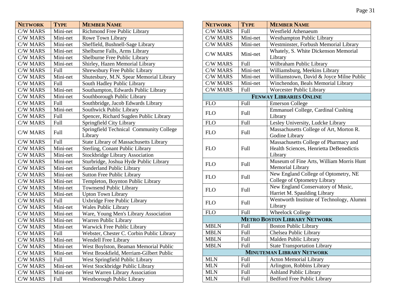| <b>NETWORK</b>  | <b>TYPE</b> | <b>MEMBER NAME</b>                                 |
|-----------------|-------------|----------------------------------------------------|
| <b>C/W MARS</b> | Mini-net    | Richmond Free Public Library                       |
| <b>C/W MARS</b> | Mini-net    | Rowe Town Library                                  |
| <b>C/W MARS</b> | Mini-net    | Sheffield, Bushnell-Sage Library                   |
| <b>C/W MARS</b> | Mini-net    | Shelburne Falls, Arms Library                      |
| <b>C/W MARS</b> | Mini-net    | Shelburne Free Public Library                      |
| <b>C/W MARS</b> | Mini-net    | Shirley, Hazen Memorial Library                    |
| <b>C/W MARS</b> | Full        | Shrewsbury Free Public Library                     |
| <b>C/W MARS</b> | Mini-net    | Shutesbury, M.N. Spear Memorial Library            |
| <b>C/W MARS</b> | Full        | South Hadley Public Library                        |
| <b>C/W MARS</b> | Mini-net    | Southampton, Edwards Public Library                |
| <b>C/W MARS</b> | Mini-net    | Southborough Public Library                        |
| <b>C/W MARS</b> | Full        | Southbridge, Jacob Edwards Library                 |
| C/W MARS        | Mini-net    | Southwick Public Library                           |
| <b>C/W MARS</b> | Full        | Spencer, Richard Sugden Public Library             |
| <b>C/W MARS</b> | <b>Full</b> | Springfield City Library                           |
| C/W MARS        | Full        | Springfield Technical Community College<br>Library |
| <b>C/W MARS</b> | Full        | <b>State Library of Massachusetts Library</b>      |
| <b>C/W MARS</b> | Mini-net    | Sterling, Conant Public Library                    |
| <b>C/W MARS</b> | Mini-net    | <b>Stockbridge Library Association</b>             |
| <b>C/W MARS</b> | Mini-net    | Sturbridge, Joshua Hyde Public Library             |
| <b>C/W MARS</b> | Mini-net    | <b>Sunderland Public Library</b>                   |
| <b>C/W MARS</b> | Mini-net    | <b>Sutton Free Public Library</b>                  |
| <b>C/W MARS</b> | Mini-net    | Templeton, Boynton Public Library                  |
| <b>C/W MARS</b> | Mini-net    | <b>Townsend Public Library</b>                     |
| <b>C/W MARS</b> | Mini-net    | <b>Upton Town Library</b>                          |
| <b>C/W MARS</b> | Full        | Uxbridge Free Public Library                       |
| <b>C/W MARS</b> | Mini-net    | <b>Wales Public Library</b>                        |
| <b>C/W MARS</b> | Mini-net    | Ware, Young Men's Library Association              |
| <b>C/W MARS</b> | Mini-net    | Warren Public Library                              |
| <b>C/W MARS</b> | Mini-net    | Warwick Free Public Library                        |
| C/W MARS        | Full        | Webster, Chester C. Corbin Public Library          |
| <b>C/W MARS</b> | Mini-net    | Wendell Free Library                               |
| <b>C/W MARS</b> | Mini-net    | West Boylston, Beaman Memorial Public              |
| <b>C/W MARS</b> | Mini-net    | West Brookfield, Merriam-Gilbert Public            |
| <b>C/W MARS</b> | Full        | West Springfield Public Library                    |
| <b>C/W MARS</b> | Mini-net    | West Stockbridge Public Library                    |
| C/W MARS        | Mini-net    | West Warren Library Association                    |
| <b>C/W MARS</b> | Full        | Westborough Public Library                         |

| <b>NETWORK</b>                   | <b>TYPE</b> | <b>MEMBER NAME</b>                        |  |
|----------------------------------|-------------|-------------------------------------------|--|
| <b>C/W MARS</b>                  | Full        | <b>Westfield Athenaeum</b>                |  |
| C/W MARS                         | Mini-net    | <b>Westhampton Public Library</b>         |  |
| <b>C/W MARS</b>                  | Mini-net    | Westminster, Forbush Memorial Library     |  |
| <b>C/W MARS</b>                  | Mini-net    | Whately, S. White Dickenson Memorial      |  |
|                                  |             | Library                                   |  |
| <b>C/W MARS</b>                  | Full        | Wilbraham Public Library                  |  |
| <b>C/W MARS</b>                  | Mini-net    | Williamsburg, Meekins Library             |  |
| <b>C/W MARS</b>                  | Mini-net    | Williamstown, David & Joyce Milne Public  |  |
| <b>C/W MARS</b>                  | Mini-net    | Winchendon, Beals Memorial Library        |  |
| <b>C/W MARS</b>                  | Full        | Worcester Public Library                  |  |
|                                  |             | <b>FENWAY LIBRARIES ONLINE</b>            |  |
| <b>FLO</b>                       | Full        | <b>Emerson College</b>                    |  |
| <b>FLO</b>                       | Full        | <b>Emmanuel College, Cardinal Cushing</b> |  |
|                                  |             | Library                                   |  |
| <b>FLO</b>                       | Full        | Lesley University, Ludcke Library         |  |
| <b>FLO</b>                       | <b>Full</b> | Massachusetts College of Art, Morton R.   |  |
|                                  |             | Godine Library                            |  |
|                                  |             | Massachusetts College of Pharmacy and     |  |
| <b>FLO</b>                       | Full        | Health Sciences, Henrietta DeBenedictis   |  |
|                                  |             | Library                                   |  |
| <b>FLO</b>                       | Full        | Museum of Fine Arts, William Morris Hunt  |  |
|                                  |             | <b>Memorial Library</b>                   |  |
| <b>FLO</b>                       | Full        | New England College of Optometry, NE      |  |
|                                  |             | College of Optometry Library              |  |
| <b>FLO</b>                       | Full        | New England Conservatory of Music,        |  |
|                                  |             | Harriet M. Spaulding Library              |  |
| <b>FLO</b>                       | Full        | Wentworth Institute of Technology, Alumni |  |
|                                  |             | Library                                   |  |
| <b>FLO</b>                       | Full        | <b>Wheelock College</b>                   |  |
|                                  |             | <b>METRO BOSTON LIBRARY NETWORK</b>       |  |
| <b>MBLN</b>                      | Full        | <b>Boston Public Library</b>              |  |
| <b>MBLN</b>                      | <b>Full</b> | Chelsea Public Library                    |  |
| <b>MBLN</b>                      | Full        | Malden Public Library                     |  |
| <b>MBLN</b>                      | Full        | <b>State Transportation Library</b>       |  |
| <b>MINUTEMAN LIBRARY NETWORK</b> |             |                                           |  |
| <b>MLN</b>                       | Full        | <b>Acton Memorial Library</b>             |  |
| <b>MLN</b>                       | Full        | Arlington, Robbins Library                |  |
| <b>MLN</b>                       | Full        | <b>Ashland Public Library</b>             |  |
| <b>MLN</b>                       | Full        | <b>Bedford Free Public Library</b>        |  |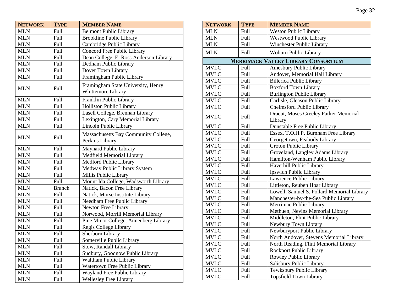| <b>NETWORK</b> | <b>TYPE</b>   | <b>MEMBER NAME</b>                                       |
|----------------|---------------|----------------------------------------------------------|
| <b>MLN</b>     | Full          | <b>Belmont Public Library</b>                            |
| <b>MLN</b>     | Full          | <b>Brookline Public Library</b>                          |
| <b>MLN</b>     | Full          | Cambridge Public Library                                 |
| <b>MLN</b>     | Full          | Concord Free Public Library                              |
| <b>MLN</b>     | Full          | Dean College, E. Ross Anderson Library                   |
| <b>MLN</b>     | Full          | Dedham Public Library                                    |
| <b>MLN</b>     | Full          | Dover Town Library                                       |
| <b>MLN</b>     | Full          | Framingham Public Library                                |
| <b>MLN</b>     | Full          | Framingham State University, Henry<br>Whittemore Library |
| MLN            | Full          | Franklin Public Library                                  |
| <b>MLN</b>     | Full          | Holliston Public Library                                 |
| <b>MLN</b>     | Full          | Lasell College, Brennan Library                          |
| <b>MLN</b>     | Full          | Lexington, Cary Memorial Library                         |
| <b>MLN</b>     | Full          | Lincoln Public Library                                   |
| <b>MLN</b>     | Full          | Massachusetts Bay Community College,<br>Perkins Library  |
| <b>MLN</b>     | Full          | Maynard Public Library                                   |
| <b>MLN</b>     | Full          | <b>Medfield Memorial Library</b>                         |
| <b>MLN</b>     | Full          | Medford Public Library                                   |
| <b>MLN</b>     | Full          | Medway Public Library System                             |
| <b>MLN</b>     | Full          | Millis Public Library                                    |
| <b>MLN</b>     | Full          | Mount Ida College, Wadsworth Library                     |
| <b>MLN</b>     | <b>Branch</b> | Natick, Bacon Free Library                               |
| <b>MLN</b>     | Full          | Natick, Morse Institute Library                          |
| <b>MLN</b>     | Full          | Needham Free Public Library                              |
| <b>MLN</b>     | Full          | Newton Free Library                                      |
| <b>MLN</b>     | Full          | Norwood, Morrill Memorial Library                        |
| <b>MLN</b>     | Full          | Pine Minor College, Annenberg Library                    |
| <b>MLN</b>     | Full          | Regis College Library                                    |
| <b>MLN</b>     | Full          | Sherborn Library                                         |
| <b>MLN</b>     | Full          | Somerville Public Library                                |
| <b>MLN</b>     | Full          | Stow, Randall Library                                    |
| <b>MLN</b>     | Full          | Sudbury, Goodnow Public Library                          |
| <b>MLN</b>     | Full          | Waltham Public Library                                   |
| MLN            | Full          | Watertown Free Public Library                            |
| <b>MLN</b>     | Full          | Wayland Free Public Library                              |
| <b>MLN</b>     | Full          | <b>Wellesley Free Library</b>                            |

| <b>NETWORK</b> | <b>TYPE</b> | <b>MEMBER NAME</b>                               |
|----------------|-------------|--------------------------------------------------|
| <b>MLN</b>     | Full        | <b>Weston Public Library</b>                     |
| <b>MLN</b>     | Full        | Westwood Public Library                          |
| <b>MLN</b>     | Full        | <b>Winchester Public Library</b>                 |
| <b>MLN</b>     | Full        | Woburn Public Library                            |
|                |             | <b>MERRIMACK VALLEY LIBRARY CONSORTIUM</b>       |
| <b>MVLC</b>    | Full        | Amesbury Public Library                          |
| <b>MVLC</b>    | Full        | Andover, Memorial Hall Library                   |
| <b>MVLC</b>    | Full        | <b>Billerica Public Library</b>                  |
| <b>MVLC</b>    | <b>Full</b> | <b>Boxford Town Library</b>                      |
| <b>MVLC</b>    | Full        | Burlington Public Library                        |
| <b>MVLC</b>    | Full        | Carlisle, Gleason Public Library                 |
| <b>MVLC</b>    | <b>Full</b> | <b>Chelmsford Public Library</b>                 |
| <b>MVLC</b>    | Full        | Dracut, Moses Greeley Parker Memorial<br>Library |
| <b>MVLC</b>    | Full        | Dunstable Free Public Library                    |
| <b>MVLC</b>    | Full        | Essex, T.O.H.P. Burnham Free Library             |
| <b>MVLC</b>    | <b>Full</b> | Georgetown, Peabody Library                      |
| <b>MVLC</b>    | Full        | <b>Groton Public Library</b>                     |
| <b>MVLC</b>    | Full        | Groveland, Langley Adams Library                 |
| <b>MVLC</b>    | Full        | Hamilton-Wenham Public Library                   |
| <b>MVLC</b>    | <b>Full</b> | Haverhill Public Library                         |
| <b>MVLC</b>    | <b>Full</b> | Ipswich Public Library                           |
| <b>MVLC</b>    | Full        | Lawrence Public Library                          |
| <b>MVLC</b>    | Full        | Littleton, Reuben Hoar Library                   |
| <b>MVLC</b>    | Full        | Lowell, Samuel S. Pollard Memorial Library       |
| <b>MVLC</b>    | Full        | Manchester-by-the-Sea Public Library             |
| <b>MVLC</b>    | Full        | Merrimac Public Library                          |
| <b>MVLC</b>    | Full        | Methuen, Nevins Memorial Library                 |
| <b>MVLC</b>    | <b>Full</b> | Middleton, Flint Public Library                  |
| <b>MVLC</b>    | <b>Full</b> | Newbury Town Library                             |
| <b>MVLC</b>    | <b>Full</b> | Newburyport Public Library                       |
| <b>MVLC</b>    | Full        | North Andover, Stevens Memorial Library          |
| <b>MVLC</b>    | Full        | North Reading, Flint Memorial Library            |
| <b>MVLC</b>    | Full        | Rockport Public Library                          |
| <b>MVLC</b>    | Full        | Rowley Public Library                            |
| <b>MVLC</b>    | <b>Full</b> | Salisbury Public Library                         |
| <b>MVLC</b>    | <b>Full</b> | Tewksbury Public Library                         |
| <b>MVLC</b>    | Full        | <b>Topsfield Town Library</b>                    |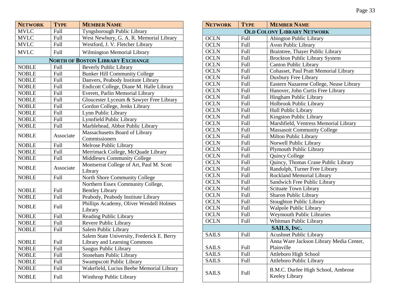| <b>NETWORK</b> | <b>TYPE</b> | <b>MEMBER NAME</b>                                  |
|----------------|-------------|-----------------------------------------------------|
| <b>MVLC</b>    | Full        | Tyngsborough Public Library                         |
| <b>MVLC</b>    | Full        | West Newbury, G. A. R. Memorial Library             |
| <b>MVLC</b>    | Full        | Westford, J. V. Fletcher Library                    |
| <b>MVLC</b>    | Full        | Wilmington Memorial Library                         |
|                |             | <b>NORTH OF BOSTON LIBRARY EXCHANGE</b>             |
| <b>NOBLE</b>   | Full        | <b>Beverly Public Library</b>                       |
| <b>NOBLE</b>   | Full        | <b>Bunker Hill Community College</b>                |
| <b>NOBLE</b>   | Full        | Danvers, Peabody Institute Library                  |
| <b>NOBLE</b>   | Full        | Endicott College, Diane M. Halle Library            |
| <b>NOBLE</b>   | Full        | Everett, Parlin Memorial Library                    |
| <b>NOBLE</b>   | Full        | Gloucester Lyceum & Sawyer Free Library             |
| <b>NOBLE</b>   | Full        | Gordon College, Jenks Library                       |
| <b>NOBLE</b>   | Full        | Lynn Public Library                                 |
| <b>NOBLE</b>   | Full        | Lynnfield Public Library                            |
| <b>NOBLE</b>   | Full        | Marblehead, Abbot Public Library                    |
|                |             | Massachusetts Board of Library                      |
| <b>NOBLE</b>   | Associate   | Commissioners                                       |
| <b>NOBLE</b>   | Full        | Melrose Public Library                              |
| <b>NOBLE</b>   | Full        | Merrimack College, McQuade Library                  |
| <b>NOBLE</b>   | Full        | <b>Middlesex Community College</b>                  |
| <b>NOBLE</b>   | Associate   | Montserrat College of Art, Paul M. Scott<br>Library |
| NOBLE          | Full        | North Shore Community College                       |
|                |             | Northern Essex Community College,                   |
| <b>NOBLE</b>   | Full        | <b>Bentley Library</b>                              |
| <b>NOBLE</b>   | Full        | Peabody, Peabody Institute Library                  |
|                |             | Phillips Academy, Oliver Wendell Holmes             |
| <b>NOBLE</b>   | Full        | Library                                             |
| <b>NOBLE</b>   | Full        | <b>Reading Public Library</b>                       |
| <b>NOBLE</b>   | Full        | Revere Public Library                               |
| <b>NOBLE</b>   | Full        | Salem Public Library                                |
|                |             | Salem State University, Frederick E. Berry          |
| <b>NOBLE</b>   | Full        | <b>Library and Learning Commons</b>                 |
| <b>NOBLE</b>   | Full        | Saugus Public Library                               |
| <b>NOBLE</b>   | Full        | Stoneham Public Library                             |
| <b>NOBLE</b>   | <b>Full</b> | <b>Swampscott Public Library</b>                    |
| <b>NOBLE</b>   | Full        | Wakefield, Lucius Beebe Memorial Library            |
| <b>NOBLE</b>   | Full        | Winthrop Public Library                             |

| <b>NETWORK</b> | <b>TYPE</b> | <b>MEMBER NAME</b>                                   |
|----------------|-------------|------------------------------------------------------|
|                |             | <b>OLD COLONY LIBRARY NETWORK</b>                    |
| <b>OCLN</b>    | Full        | <b>Abington Public Library</b>                       |
| <b>OCLN</b>    | Full        | Avon Public Library                                  |
| <b>OCLN</b>    | Full        | Braintree, Thayer Public Library                     |
| <b>OCLN</b>    | Full        | <b>Brockton Public Library System</b>                |
| <b>OCLN</b>    | Full        | <b>Canton Public Library</b>                         |
| <b>OCLN</b>    | Full        | Cohasset, Paul Pratt Memorial Library                |
| <b>OCLN</b>    | Full        | Duxbury Free Library                                 |
| <b>OCLN</b>    | Full        | Eastern Nazarene College, Nease Library              |
| <b>OCLN</b>    | Full        | Hanover, John Curtis Free Library                    |
| <b>OCLN</b>    | Full        | Hingham Public Library                               |
| <b>OCLN</b>    | Full        | Holbrook Public Library                              |
| <b>OCLN</b>    | Full        | Hull Public Library                                  |
| <b>OCLN</b>    | Full        | Kingston Public Library                              |
| <b>OCLN</b>    | Full        | Marshfield, Ventress Memorial Library                |
| <b>OCLN</b>    | Full        | <b>Massasoit Community College</b>                   |
| <b>OCLN</b>    | Full        | Milton Public Library                                |
| <b>OCLN</b>    | Full        | Norwell Public Library                               |
| <b>OCLN</b>    | Full        | Plymouth Public Library                              |
| <b>OCLN</b>    | Full        | Quincy College                                       |
| <b>OCLN</b>    | Full        | Quincy, Thomas Crane Public Library                  |
| <b>OCLN</b>    | Full        | Randolph, Turner Free Library                        |
| <b>OCLN</b>    | Full        | Rockland Memorial Library                            |
| <b>OCLN</b>    | Full        | Sandwich Free Public Library                         |
| <b>OCLN</b>    | Full        | <b>Scituate Town Library</b>                         |
| <b>OCLN</b>    | Full        | Sharon Public Library                                |
| <b>OCLN</b>    | Full        | <b>Stoughton Public Library</b>                      |
| <b>OCLN</b>    | Full        | Walpole Public Library                               |
| <b>OCLN</b>    | Full        | <b>Weymouth Public Libraries</b>                     |
| <b>OCLN</b>    | Full        | Whitman Public Library                               |
|                |             | SAILS, INC.                                          |
| <b>SAILS</b>   | Full        | <b>Acushnet Public Library</b>                       |
|                |             | Anna Ware Jackson Library Media Center,              |
| <b>SAILS</b>   | Full        | Plainville                                           |
| <b>SAILS</b>   | Full        | Attleboro High School                                |
| <b>SAILS</b>   | Full        | <b>Attleboro Public Library</b>                      |
| <b>SAILS</b>   | Full        | B.M.C. Durfee High School, Ambrose<br>Keeley Library |